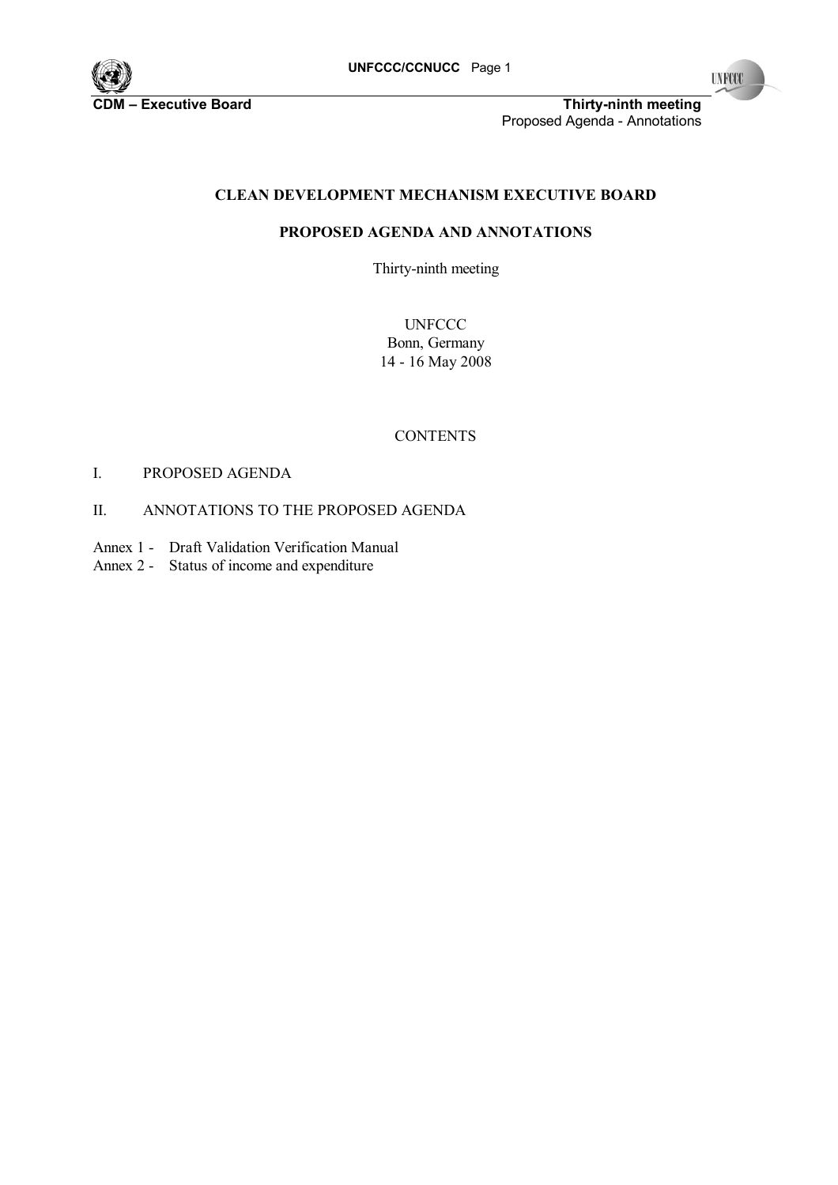

**CDM** Final Executive Board **Executive Board** Thirty-ninth meeting Proposed Agenda - Annotations

# **CLEAN DEVELOPMENT MECHANISM EXECUTIVE BOARD**

# **PROPOSED AGENDA AND ANNOTATIONS**

Thirty-ninth meeting

**UNFCCC** Bonn, Germany 14 - 16 May 2008

#### **CONTENTS**

# I. PROPOSED AGENDA

# II. ANNOTATIONS TO THE PROPOSED AGENDA

- Annex 1 Draft Validation Verification Manual
- Annex 2 Status of income and expenditure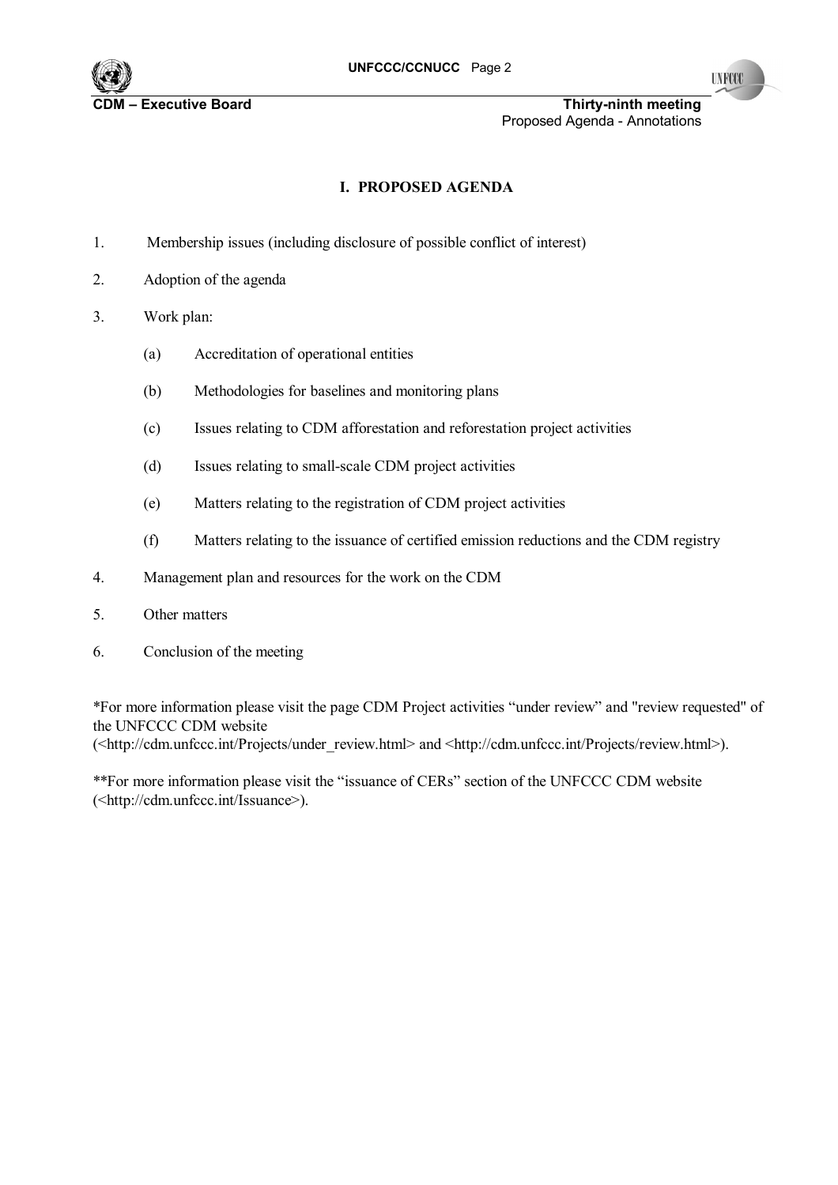

**C**DM FREE EXECUTIVE BOARD **EXECUTIVE BOARD IN EXECUTIVE SOME THIRTY-ninth meeting** Proposed Agenda - Annotations

# **I. PROPOSED AGENDA**

- 1. Membership issues (including disclosure of possible conflict of interest)
- 2. Adoption of the agenda
- 3. Work plan:
	- (a) Accreditation of operational entities
	- (b) Methodologies for baselines and monitoring plans
	- (c) Issues relating to CDM afforestation and reforestation project activities
	- (d) Issues relating to small-scale CDM project activities
	- (e) Matters relating to the registration of CDM project activities
	- (f) Matters relating to the issuance of certified emission reductions and the CDM registry
- 4. Management plan and resources for the work on the CDM
- 5. Other matters
- 6. Conclusion of the meeting

\*For more information please visit the page CDM Project activities "under review" and "review requested" of the UNFCCC CDM website (<http://cdm.unfccc.int/Projects/under\_review.html> and <http://cdm.unfccc.int/Projects/review.html>).

\*\*For more information please visit the "issuance of CERs" section of the UNFCCC CDM website (<http://cdm.unfccc.int/Issuance>).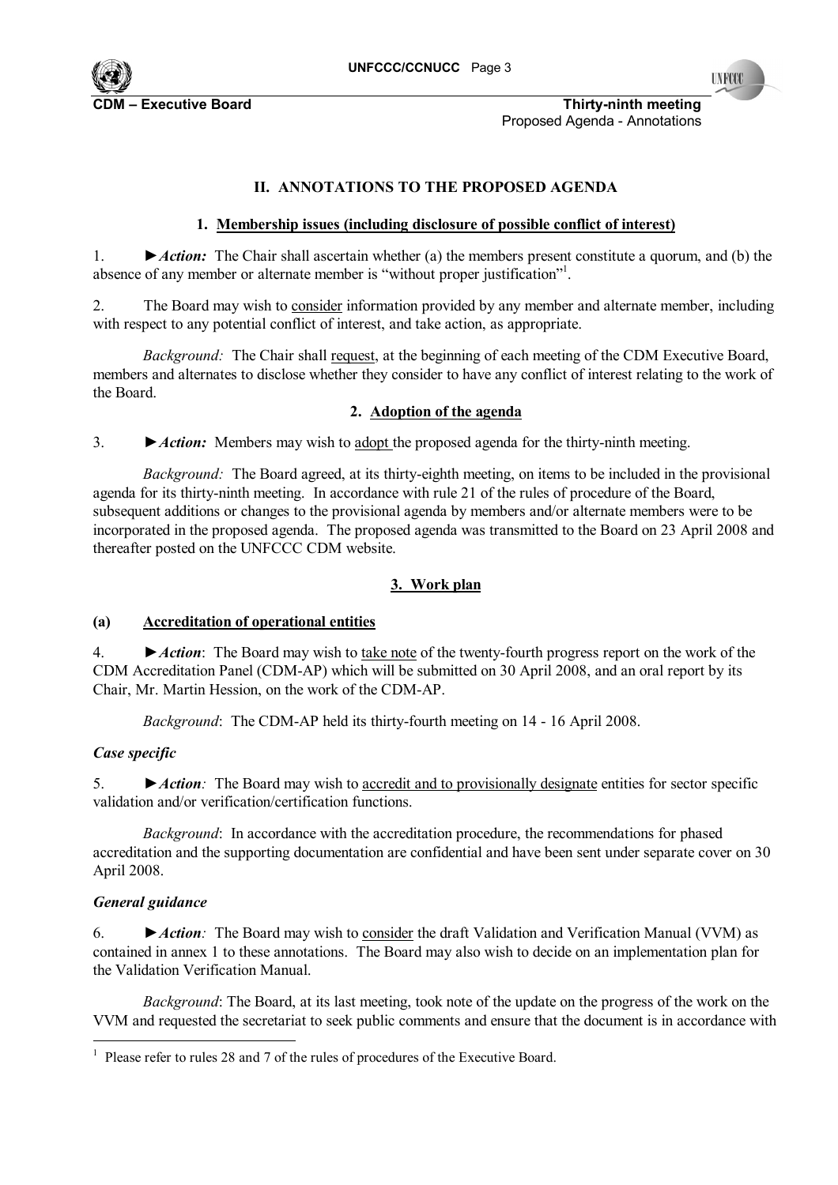

**CDM Executive Board COM NUMER IN THIRTY-NINTY-ninth meeting** Proposed Agenda - Annotations

### **II. ANNOTATIONS TO THE PROPOSED AGENDA**

### **1. Membership issues (including disclosure of possible conflict of interest)**

1. *►Action:* The Chair shall ascertain whether (a) the members present constitute a quorum, and (b) the absence of any member or alternate member is "without proper justification"<sup>1</sup>.

2. The Board may wish to consider information provided by any member and alternate member, including with respect to any potential conflict of interest, and take action, as appropriate.

*Background:* The Chair shall request, at the beginning of each meeting of the CDM Executive Board, members and alternates to disclose whether they consider to have any conflict of interest relating to the work of the Board.

#### **2. Adoption of the agenda**

3. *►Action:* Members may wish to adopt the proposed agenda for the thirty-ninth meeting.

*Background:* The Board agreed, at its thirty-eighth meeting, on items to be included in the provisional agenda for its thirty-ninth meeting. In accordance with rule 21 of the rules of procedure of the Board, subsequent additions or changes to the provisional agenda by members and/or alternate members were to be incorporated in the proposed agenda. The proposed agenda was transmitted to the Board on 23 April 2008 and thereafter posted on the UNFCCC CDM website.

### **3. Work plan**

#### **(a) Accreditation of operational entities**

4. *►Action*: The Board may wish to take note of the twenty-fourth progress report on the work of the CDM Accreditation Panel (CDM-AP) which will be submitted on 30 April 2008, and an oral report by its Chair, Mr. Martin Hession, on the work of the CDM-AP.

*Background*: The CDM-AP held its thirty-fourth meeting on 14 - 16 April 2008.

#### *Case specific*

5. *►Action:* The Board may wish to accredit and to provisionally designate entities for sector specific validation and/or verification/certification functions.

*Background*: In accordance with the accreditation procedure, the recommendations for phased accreditation and the supporting documentation are confidential and have been sent under separate cover on 30 April 2008.

#### *General guidance*

l

6. *►Action:* The Board may wish to consider the draft Validation and Verification Manual (VVM) as contained in annex 1 to these annotations. The Board may also wish to decide on an implementation plan for the Validation Verification Manual.

*Background*: The Board, at its last meeting, took note of the update on the progress of the work on the VVM and requested the secretariat to seek public comments and ensure that the document is in accordance with

<sup>1</sup> Please refer to rules 28 and 7 of the rules of procedures of the Executive Board.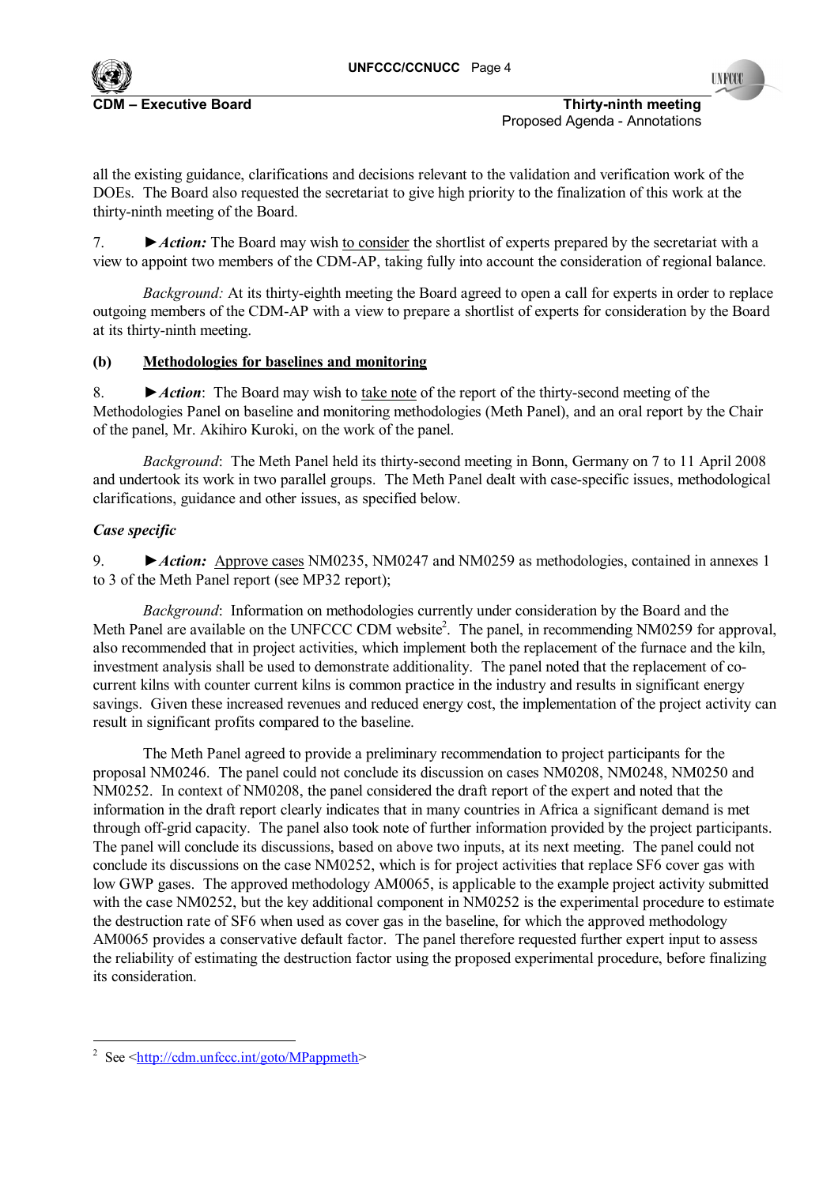**INFOCO** 

**C**DM **Executive Board CDM is a constructed by CDM is a constructed by Thirty-ninth meeting <b>Thirty-ninth meeting** Proposed Agenda - Annotations

all the existing guidance, clarifications and decisions relevant to the validation and verification work of the DOEs. The Board also requested the secretariat to give high priority to the finalization of this work at the thirty-ninth meeting of the Board.

7. **►** *Action:* The Board may wish to consider the shortlist of experts prepared by the secretariat with a view to appoint two members of the CDM-AP, taking fully into account the consideration of regional balance.

*Background:* At its thirty-eighth meeting the Board agreed to open a call for experts in order to replace outgoing members of the CDM-AP with a view to prepare a shortlist of experts for consideration by the Board at its thirty-ninth meeting.

# **(b) Methodologies for baselines and monitoring**

8. *►Action*: The Board may wish to take note of the report of the thirty-second meeting of the Methodologies Panel on baseline and monitoring methodologies (Meth Panel), and an oral report by the Chair of the panel, Mr. Akihiro Kuroki, on the work of the panel.

*Background*: The Meth Panel held its thirty-second meeting in Bonn, Germany on 7 to 11 April 2008 and undertook its work in two parallel groups. The Meth Panel dealt with case-specific issues, methodological clarifications, guidance and other issues, as specified below.

# *Case specific*

9. **►** *Action:* Approve cases NM0235, NM0247 and NM0259 as methodologies, contained in annexes 1 to 3 of the Meth Panel report (see MP32 report);

*Background*: Information on methodologies currently under consideration by the Board and the Meth Panel are available on the UNFCCC CDM website<sup>2</sup>. The panel, in recommending NM0259 for approval, also recommended that in project activities, which implement both the replacement of the furnace and the kiln, investment analysis shall be used to demonstrate additionality. The panel noted that the replacement of cocurrent kilns with counter current kilns is common practice in the industry and results in significant energy savings. Given these increased revenues and reduced energy cost, the implementation of the project activity can result in significant profits compared to the baseline.

The Meth Panel agreed to provide a preliminary recommendation to project participants for the proposal NM0246. The panel could not conclude its discussion on cases NM0208, NM0248, NM0250 and NM0252. In context of NM0208, the panel considered the draft report of the expert and noted that the information in the draft report clearly indicates that in many countries in Africa a significant demand is met through off-grid capacity. The panel also took note of further information provided by the project participants. The panel will conclude its discussions, based on above two inputs, at its next meeting. The panel could not conclude its discussions on the case NM0252, which is for project activities that replace SF6 cover gas with low GWP gases. The approved methodology AM0065, is applicable to the example project activity submitted with the case NM0252, but the key additional component in NM0252 is the experimental procedure to estimate the destruction rate of SF6 when used as cover gas in the baseline, for which the approved methodology AM0065 provides a conservative default factor. The panel therefore requested further expert input to assess the reliability of estimating the destruction factor using the proposed experimental procedure, before finalizing its consideration.

l <sup>2</sup> See  $\leq$ http://cdm.unfccc.int/goto/MPappmeth>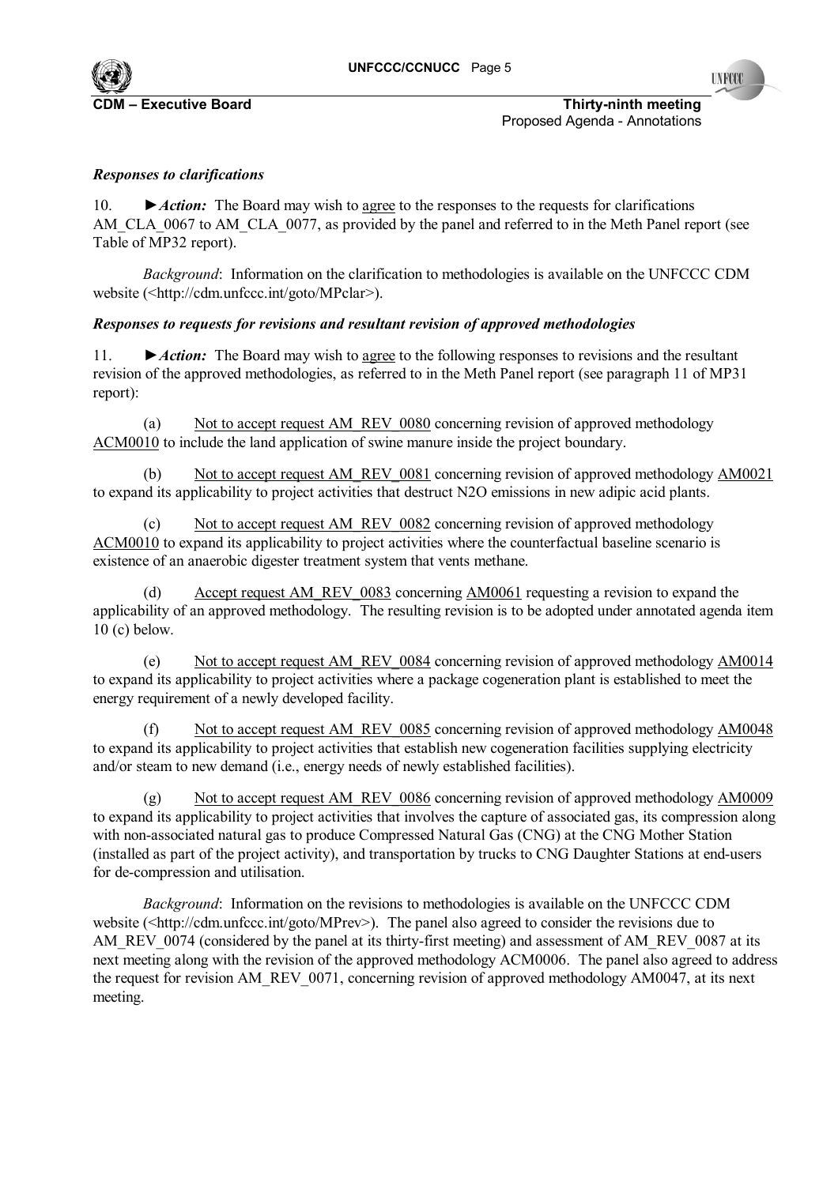

**C**DM **Executive Board CDM is a contract of the contract of the CDM is a contract of the CDM is a contract of the CDM is a contract of the CDM is a contract of the CDM is a contract of the CDM is a contract of the CDM is** Proposed Agenda - Annotations

# *Responses to clarifications*

10. **►***Action:* The Board may wish to agree to the responses to the requests for clarifications AM\_CLA\_0067 to AM\_CLA\_0077, as provided by the panel and referred to in the Meth Panel report (see Table of MP32 report).

*Background*: Information on the clarification to methodologies is available on the UNFCCC CDM website (<http://cdm.unfccc.int/goto/MPclar>).

### *Responses to requests for revisions and resultant revision of approved methodologies*

11. *►Action:* The Board may wish to agree to the following responses to revisions and the resultant revision of the approved methodologies, as referred to in the Meth Panel report (see paragraph 11 of MP31 report):

(a) Not to accept request AM\_REV\_0080 concerning revision of approved methodology ACM0010 to include the land application of swine manure inside the project boundary.

(b) Not to accept request AM\_REV\_0081 concerning revision of approved methodology AM0021 to expand its applicability to project activities that destruct N2O emissions in new adipic acid plants.

(c) Not to accept request AM\_REV\_0082 concerning revision of approved methodology ACM0010 to expand its applicability to project activities where the counterfactual baseline scenario is existence of an anaerobic digester treatment system that vents methane.

(d) Accept request AM\_REV\_0083 concerning AM0061 requesting a revision to expand the applicability of an approved methodology. The resulting revision is to be adopted under annotated agenda item 10 (c) below.

(e) Not to accept request AM\_REV\_0084 concerning revision of approved methodology AM0014 to expand its applicability to project activities where a package cogeneration plant is established to meet the energy requirement of a newly developed facility.

(f) Not to accept request AM\_REV\_0085 concerning revision of approved methodology AM0048 to expand its applicability to project activities that establish new cogeneration facilities supplying electricity and/or steam to new demand (i.e., energy needs of newly established facilities).

(g) Not to accept request AM\_REV\_0086 concerning revision of approved methodology AM0009 to expand its applicability to project activities that involves the capture of associated gas, its compression along with non-associated natural gas to produce Compressed Natural Gas (CNG) at the CNG Mother Station (installed as part of the project activity), and transportation by trucks to CNG Daughter Stations at end-users for de-compression and utilisation.

*Background*: Information on the revisions to methodologies is available on the UNFCCC CDM website (<http://cdm.unfccc.int/goto/MPrev>). The panel also agreed to consider the revisions due to AM\_REV\_0074 (considered by the panel at its thirty-first meeting) and assessment of AM\_REV\_0087 at its next meeting along with the revision of the approved methodology ACM0006. The panel also agreed to address the request for revision AM\_REV\_0071, concerning revision of approved methodology AM0047, at its next meeting.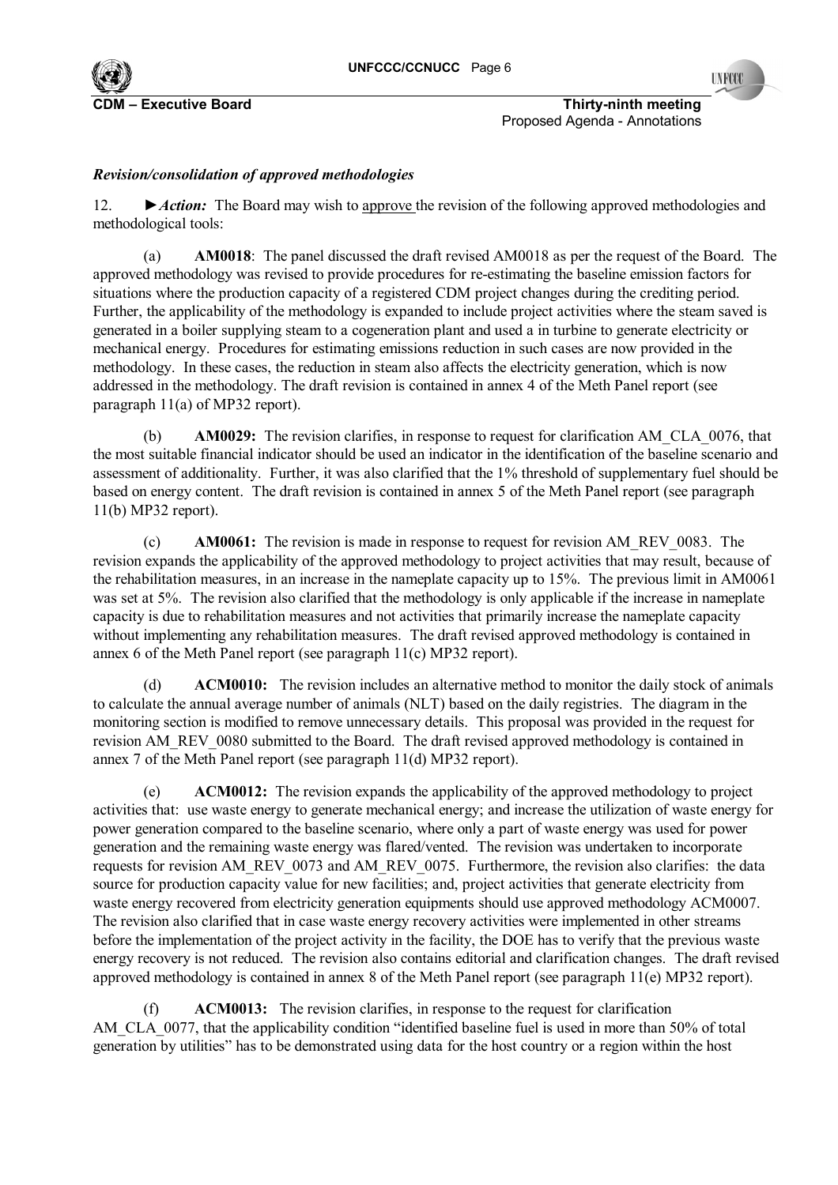

**CDM Executive Board COM NUMER IN THIRTY-NINTY-ninth meeting** Proposed Agenda - Annotations

# *Revision/consolidation of approved methodologies*

12. *►Action:* The Board may wish to approve the revision of the following approved methodologies and methodological tools:

(a) **AM0018**: The panel discussed the draft revised AM0018 as per the request of the Board. The approved methodology was revised to provide procedures for re-estimating the baseline emission factors for situations where the production capacity of a registered CDM project changes during the crediting period. Further, the applicability of the methodology is expanded to include project activities where the steam saved is generated in a boiler supplying steam to a cogeneration plant and used a in turbine to generate electricity or mechanical energy. Procedures for estimating emissions reduction in such cases are now provided in the methodology. In these cases, the reduction in steam also affects the electricity generation, which is now addressed in the methodology. The draft revision is contained in annex 4 of the Meth Panel report (see paragraph 11(a) of MP32 report).

(b) **AM0029:** The revision clarifies, in response to request for clarification AM\_CLA\_0076, that the most suitable financial indicator should be used an indicator in the identification of the baseline scenario and assessment of additionality. Further, it was also clarified that the 1% threshold of supplementary fuel should be based on energy content. The draft revision is contained in annex 5 of the Meth Panel report (see paragraph 11(b) MP32 report).

(c) **AM0061:** The revision is made in response to request for revision AM\_REV\_0083. The revision expands the applicability of the approved methodology to project activities that may result, because of the rehabilitation measures, in an increase in the nameplate capacity up to 15%. The previous limit in AM0061 was set at 5%. The revision also clarified that the methodology is only applicable if the increase in nameplate capacity is due to rehabilitation measures and not activities that primarily increase the nameplate capacity without implementing any rehabilitation measures. The draft revised approved methodology is contained in annex 6 of the Meth Panel report (see paragraph 11(c) MP32 report).

(d) **ACM0010:** The revision includes an alternative method to monitor the daily stock of animals to calculate the annual average number of animals (NLT) based on the daily registries. The diagram in the monitoring section is modified to remove unnecessary details. This proposal was provided in the request for revision AM\_REV\_0080 submitted to the Board. The draft revised approved methodology is contained in annex 7 of the Meth Panel report (see paragraph 11(d) MP32 report).

(e) **ACM0012:** The revision expands the applicability of the approved methodology to project activities that: use waste energy to generate mechanical energy; and increase the utilization of waste energy for power generation compared to the baseline scenario, where only a part of waste energy was used for power generation and the remaining waste energy was flared/vented. The revision was undertaken to incorporate requests for revision AM\_REV\_0073 and AM\_REV\_0075. Furthermore, the revision also clarifies: the data source for production capacity value for new facilities; and, project activities that generate electricity from waste energy recovered from electricity generation equipments should use approved methodology ACM0007. The revision also clarified that in case waste energy recovery activities were implemented in other streams before the implementation of the project activity in the facility, the DOE has to verify that the previous waste energy recovery is not reduced. The revision also contains editorial and clarification changes. The draft revised approved methodology is contained in annex 8 of the Meth Panel report (see paragraph 11(e) MP32 report).

(f) **ACM0013:** The revision clarifies, in response to the request for clarification AM\_CLA\_0077, that the applicability condition "identified baseline fuel is used in more than 50% of total generation by utilities" has to be demonstrated using data for the host country or a region within the host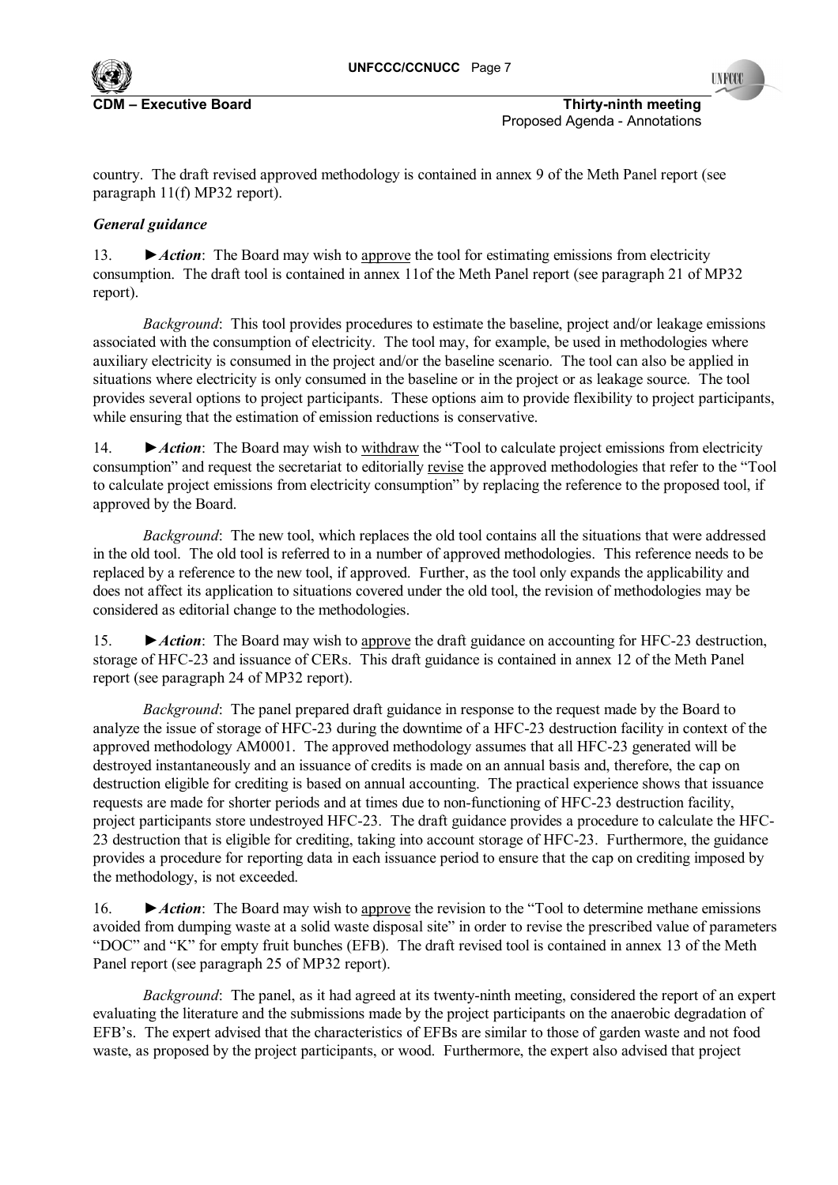

**C**DM **Executive Board CDM is a contract of the contract of the CDM is a contract of the CDM is a contract of the CDM is a contract of the CDM is a contract of the CDM is a contract of the CDM is a contract of the CDM is** Proposed Agenda - Annotations

country. The draft revised approved methodology is contained in annex 9 of the Meth Panel report (see paragraph 11(f) MP32 report).

# *General guidance*

13. *►Action*: The Board may wish to approve the tool for estimating emissions from electricity consumption. The draft tool is contained in annex 11of the Meth Panel report (see paragraph 21 of MP32 report).

*Background*: This tool provides procedures to estimate the baseline, project and/or leakage emissions associated with the consumption of electricity. The tool may, for example, be used in methodologies where auxiliary electricity is consumed in the project and/or the baseline scenario. The tool can also be applied in situations where electricity is only consumed in the baseline or in the project or as leakage source. The tool provides several options to project participants. These options aim to provide flexibility to project participants, while ensuring that the estimation of emission reductions is conservative.

14. **►** *Action*: The Board may wish to withdraw the "Tool to calculate project emissions from electricity consumption" and request the secretariat to editorially revise the approved methodologies that refer to the "Tool to calculate project emissions from electricity consumption" by replacing the reference to the proposed tool, if approved by the Board.

*Background*: The new tool, which replaces the old tool contains all the situations that were addressed in the old tool. The old tool is referred to in a number of approved methodologies. This reference needs to be replaced by a reference to the new tool, if approved. Further, as the tool only expands the applicability and does not affect its application to situations covered under the old tool, the revision of methodologies may be considered as editorial change to the methodologies.

15. *►Action*: The Board may wish to approve the draft guidance on accounting for HFC-23 destruction, storage of HFC-23 and issuance of CERs. This draft guidance is contained in annex 12 of the Meth Panel report (see paragraph 24 of MP32 report).

*Background*: The panel prepared draft guidance in response to the request made by the Board to analyze the issue of storage of HFC-23 during the downtime of a HFC-23 destruction facility in context of the approved methodology AM0001. The approved methodology assumes that all HFC-23 generated will be destroyed instantaneously and an issuance of credits is made on an annual basis and, therefore, the cap on destruction eligible for crediting is based on annual accounting. The practical experience shows that issuance requests are made for shorter periods and at times due to non-functioning of HFC-23 destruction facility, project participants store undestroyed HFC-23. The draft guidance provides a procedure to calculate the HFC-23 destruction that is eligible for crediting, taking into account storage of HFC-23. Furthermore, the guidance provides a procedure for reporting data in each issuance period to ensure that the cap on crediting imposed by the methodology, is not exceeded.

16. **►** *Action*: The Board may wish to <u>approve</u> the revision to the "Tool to determine methane emissions avoided from dumping waste at a solid waste disposal site" in order to revise the prescribed value of parameters ìDOCî and ìKî for empty fruit bunches (EFB). The draft revised tool is contained in annex 13 of the Meth Panel report (see paragraph 25 of MP32 report).

*Background*: The panel, as it had agreed at its twenty-ninth meeting, considered the report of an expert evaluating the literature and the submissions made by the project participants on the anaerobic degradation of EFB's. The expert advised that the characteristics of EFBs are similar to those of garden waste and not food waste, as proposed by the project participants, or wood. Furthermore, the expert also advised that project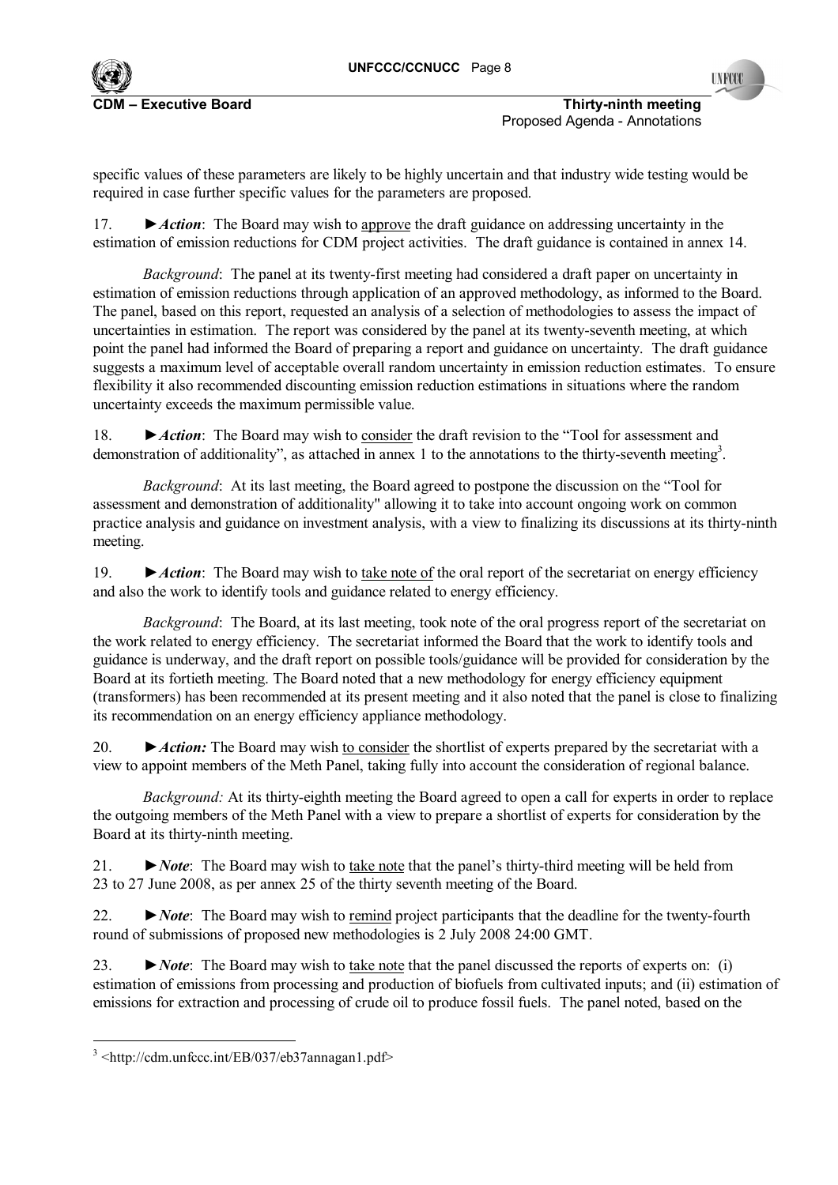

specific values of these parameters are likely to be highly uncertain and that industry wide testing would be required in case further specific values for the parameters are proposed.

17. *►Action*: The Board may wish to approve the draft guidance on addressing uncertainty in the estimation of emission reductions for CDM project activities. The draft guidance is contained in annex 14.

*Background*: The panel at its twenty-first meeting had considered a draft paper on uncertainty in estimation of emission reductions through application of an approved methodology, as informed to the Board. The panel, based on this report, requested an analysis of a selection of methodologies to assess the impact of uncertainties in estimation. The report was considered by the panel at its twenty-seventh meeting, at which point the panel had informed the Board of preparing a report and guidance on uncertainty. The draft guidance suggests a maximum level of acceptable overall random uncertainty in emission reduction estimates. To ensure flexibility it also recommended discounting emission reduction estimations in situations where the random uncertainty exceeds the maximum permissible value.

18. ► *Action*: The Board may wish to <u>consider</u> the draft revision to the "Tool for assessment and demonstration of additionality", as attached in annex 1 to the annotations to the thirty-seventh meeting<sup>3</sup>.

*Background*: At its last meeting, the Board agreed to postpone the discussion on the "Tool for assessment and demonstration of additionality" allowing it to take into account ongoing work on common practice analysis and guidance on investment analysis, with a view to finalizing its discussions at its thirty-ninth meeting.

19. *►Action*: The Board may wish to take note of the oral report of the secretariat on energy efficiency and also the work to identify tools and guidance related to energy efficiency.

*Background*: The Board, at its last meeting, took note of the oral progress report of the secretariat on the work related to energy efficiency. The secretariat informed the Board that the work to identify tools and guidance is underway, and the draft report on possible tools/guidance will be provided for consideration by the Board at its fortieth meeting. The Board noted that a new methodology for energy efficiency equipment (transformers) has been recommended at its present meeting and it also noted that the panel is close to finalizing its recommendation on an energy efficiency appliance methodology.

20. *►Action:* The Board may wish to consider the shortlist of experts prepared by the secretariat with a view to appoint members of the Meth Panel, taking fully into account the consideration of regional balance.

*Background:* At its thirty-eighth meeting the Board agreed to open a call for experts in order to replace the outgoing members of the Meth Panel with a view to prepare a shortlist of experts for consideration by the Board at its thirty-ninth meeting.

21. *►Note*: The Board may wish to take note that the panelís thirty-third meeting will be held from 23 to 27 June 2008, as per annex 25 of the thirty seventh meeting of the Board.

22. *►Note*: The Board may wish to remind project participants that the deadline for the twenty-fourth round of submissions of proposed new methodologies is 2 July 2008 24:00 GMT.

23. *►Note*: The Board may wish to take note that the panel discussed the reports of experts on: (i) estimation of emissions from processing and production of biofuels from cultivated inputs; and (ii) estimation of emissions for extraction and processing of crude oil to produce fossil fuels. The panel noted, based on the

l

<sup>3</sup> <http://cdm.unfccc.int/EB/037/eb37annagan1.pdf>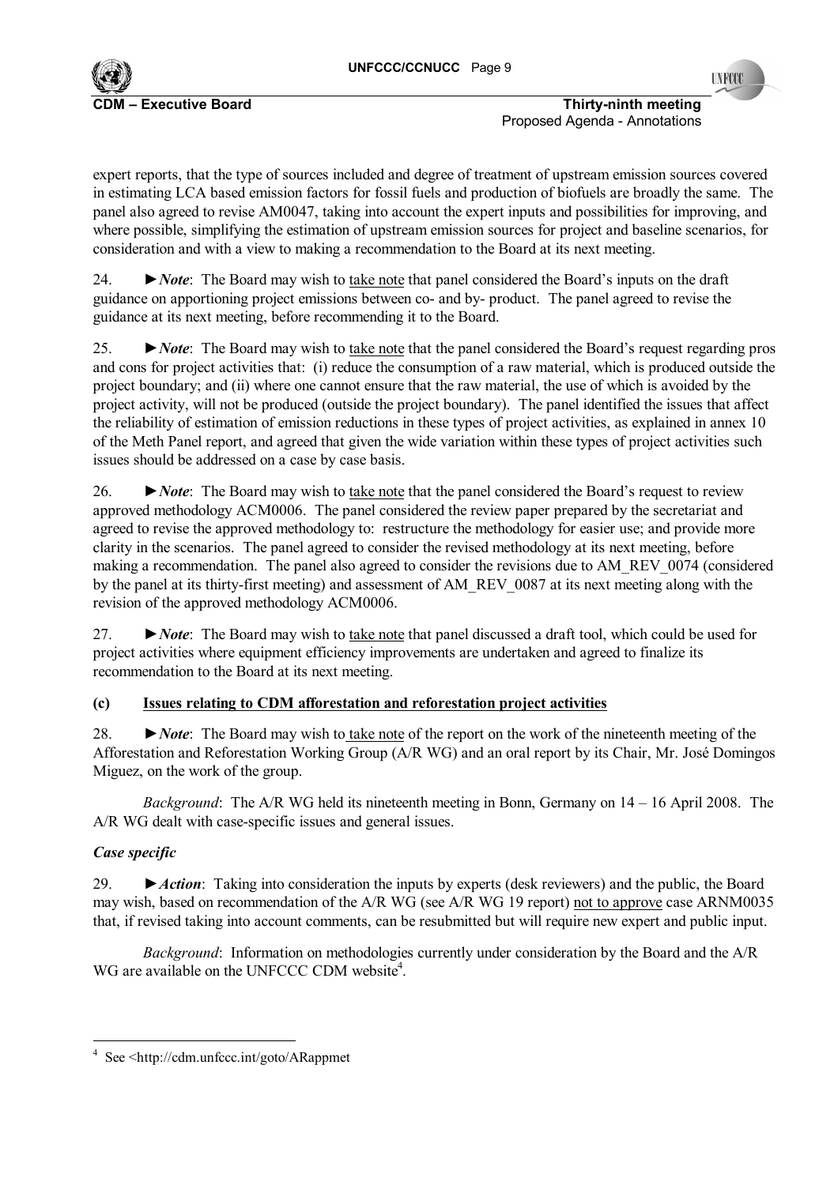

Proposed Agenda - Annotations

expert reports, that the type of sources included and degree of treatment of upstream emission sources covered in estimating LCA based emission factors for fossil fuels and production of biofuels are broadly the same. The panel also agreed to revise AM0047, taking into account the expert inputs and possibilities for improving, and where possible, simplifying the estimation of upstream emission sources for project and baseline scenarios, for consideration and with a view to making a recommendation to the Board at its next meeting.

24. *►Note*: The Board may wish to take note that panel considered the Boardís inputs on the draft guidance on apportioning project emissions between co- and by- product. The panel agreed to revise the guidance at its next meeting, before recommending it to the Board.

25. *► Note*: The Board may wish to <u>take note</u> that the panel considered the Board's request regarding pros and cons for project activities that: (i) reduce the consumption of a raw material, which is produced outside the project boundary; and (ii) where one cannot ensure that the raw material, the use of which is avoided by the project activity, will not be produced (outside the project boundary). The panel identified the issues that affect the reliability of estimation of emission reductions in these types of project activities, as explained in annex 10 of the Meth Panel report, and agreed that given the wide variation within these types of project activities such issues should be addressed on a case by case basis.

26. ► *Note*: The Board may wish to take note that the panel considered the Board's request to review approved methodology ACM0006. The panel considered the review paper prepared by the secretariat and agreed to revise the approved methodology to: restructure the methodology for easier use; and provide more clarity in the scenarios. The panel agreed to consider the revised methodology at its next meeting, before making a recommendation. The panel also agreed to consider the revisions due to AM\_REV\_0074 (considered by the panel at its thirty-first meeting) and assessment of AM\_REV\_0087 at its next meeting along with the revision of the approved methodology ACM0006.

27. *►Note*: The Board may wish to take note that panel discussed a draft tool, which could be used for project activities where equipment efficiency improvements are undertaken and agreed to finalize its recommendation to the Board at its next meeting.

# **(c) Issues relating to CDM afforestation and reforestation project activities**

28. *►Note*: The Board may wish to take note of the report on the work of the nineteenth meeting of the Afforestation and Reforestation Working Group (A/R WG) and an oral report by its Chair, Mr. José Domingos Miguez, on the work of the group.

*Background*: The A/R WG held its nineteenth meeting in Bonn, Germany on 14 – 16 April 2008. The A/R WG dealt with case-specific issues and general issues.

# *Case specific*

l

29. *►Action*: Taking into consideration the inputs by experts (desk reviewers) and the public, the Board may wish, based on recommendation of the A/R WG (see A/R WG 19 report) not to approve case ARNM0035 that, if revised taking into account comments, can be resubmitted but will require new expert and public input.

*Background*: Information on methodologies currently under consideration by the Board and the A/R WG are available on the UNFCCC CDM website<sup>4</sup>.

<sup>4</sup> See <http://cdm.unfccc.int/goto/ARappmet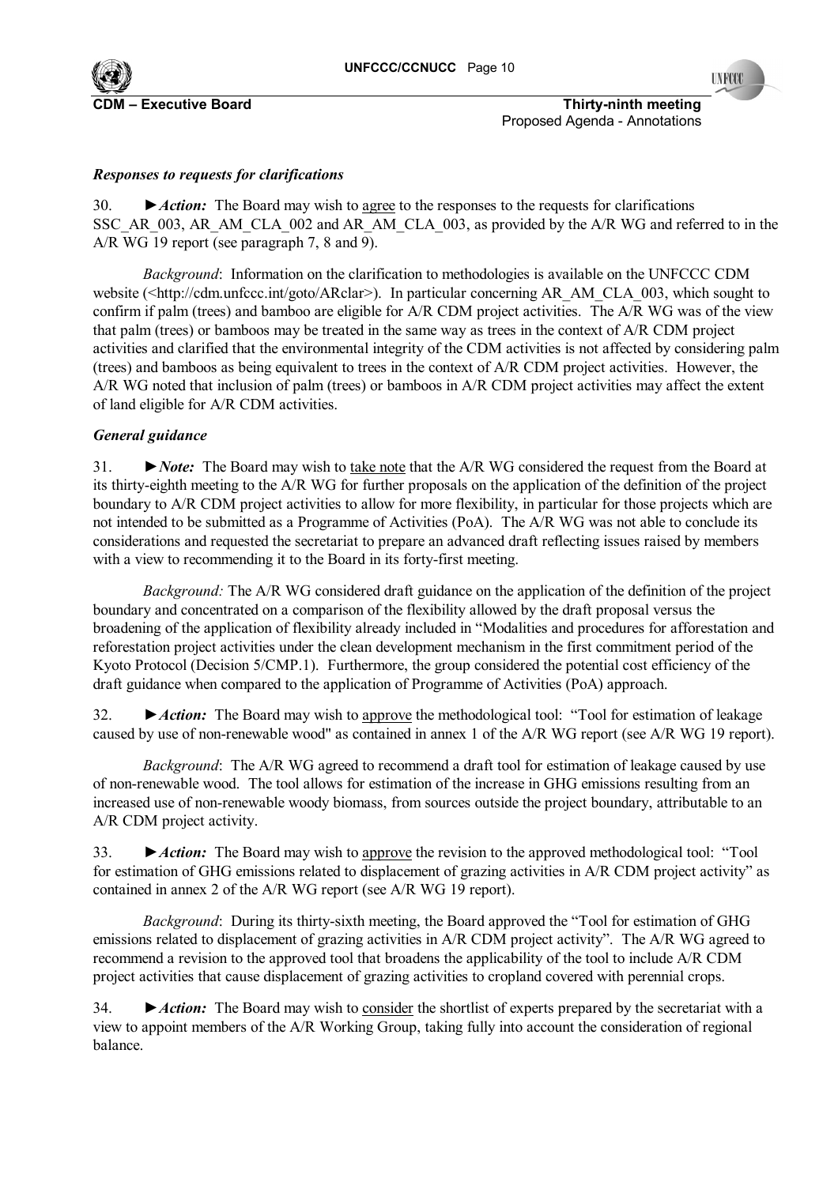

**C**DM **Executive Board CDM is a constructed by CDM is a constructed by Thirty-ninth meeting <b>Thirty-ninth meeting** Proposed Agenda - Annotations

# *Responses to requests for clarifications*

30. **►***Action:* The Board may wish to agree to the responses to the requests for clarifications SSC\_AR\_003, AR\_AM\_CLA\_002 and AR\_AM\_CLA\_003, as provided by the A/R WG and referred to in the A/R WG 19 report (see paragraph 7, 8 and 9).

*Background*: Information on the clarification to methodologies is available on the UNFCCC CDM website (<http://cdm.unfccc.int/goto/ARclar>). In particular concerning AR\_AM\_CLA\_003, which sought to confirm if palm (trees) and bamboo are eligible for A/R CDM project activities. The A/R WG was of the view that palm (trees) or bamboos may be treated in the same way as trees in the context of A/R CDM project activities and clarified that the environmental integrity of the CDM activities is not affected by considering palm (trees) and bamboos as being equivalent to trees in the context of A/R CDM project activities. However, the A/R WG noted that inclusion of palm (trees) or bamboos in A/R CDM project activities may affect the extent of land eligible for A/R CDM activities.

### *General guidance*

31. *►Note:* The Board may wish to take note that the A/R WG considered the request from the Board at its thirty-eighth meeting to the A/R WG for further proposals on the application of the definition of the project boundary to A/R CDM project activities to allow for more flexibility, in particular for those projects which are not intended to be submitted as a Programme of Activities (PoA). The A/R WG was not able to conclude its considerations and requested the secretariat to prepare an advanced draft reflecting issues raised by members with a view to recommending it to the Board in its forty-first meeting.

*Background:* The A/R WG considered draft guidance on the application of the definition of the project boundary and concentrated on a comparison of the flexibility allowed by the draft proposal versus the broadening of the application of flexibility already included in "Modalities and procedures for afforestation and reforestation project activities under the clean development mechanism in the first commitment period of the Kyoto Protocol (Decision 5/CMP.1). Furthermore, the group considered the potential cost efficiency of the draft guidance when compared to the application of Programme of Activities (PoA) approach.

32. ► *Action:* The Board may wish to <u>approve</u> the methodological tool: "Tool for estimation of leakage caused by use of non-renewable wood" as contained in annex 1 of the A/R WG report (see A/R WG 19 report).

*Background*: The A/R WG agreed to recommend a draft tool for estimation of leakage caused by use of non-renewable wood. The tool allows for estimation of the increase in GHG emissions resulting from an increased use of non-renewable woody biomass, from sources outside the project boundary, attributable to an A/R CDM project activity.

33. ► *Action:* The Board may wish to <u>approve</u> the revision to the approved methodological tool: "Tool for estimation of GHG emissions related to displacement of grazing activities in A/R CDM project activity" as contained in annex 2 of the A/R WG report (see A/R WG 19 report).

*Background*: During its thirty-sixth meeting, the Board approved the "Tool for estimation of GHG emissions related to displacement of grazing activities in A/R CDM project activity". The A/R WG agreed to recommend a revision to the approved tool that broadens the applicability of the tool to include A/R CDM project activities that cause displacement of grazing activities to cropland covered with perennial crops.

34. *►Action:* The Board may wish to consider the shortlist of experts prepared by the secretariat with a view to appoint members of the A/R Working Group, taking fully into account the consideration of regional balance.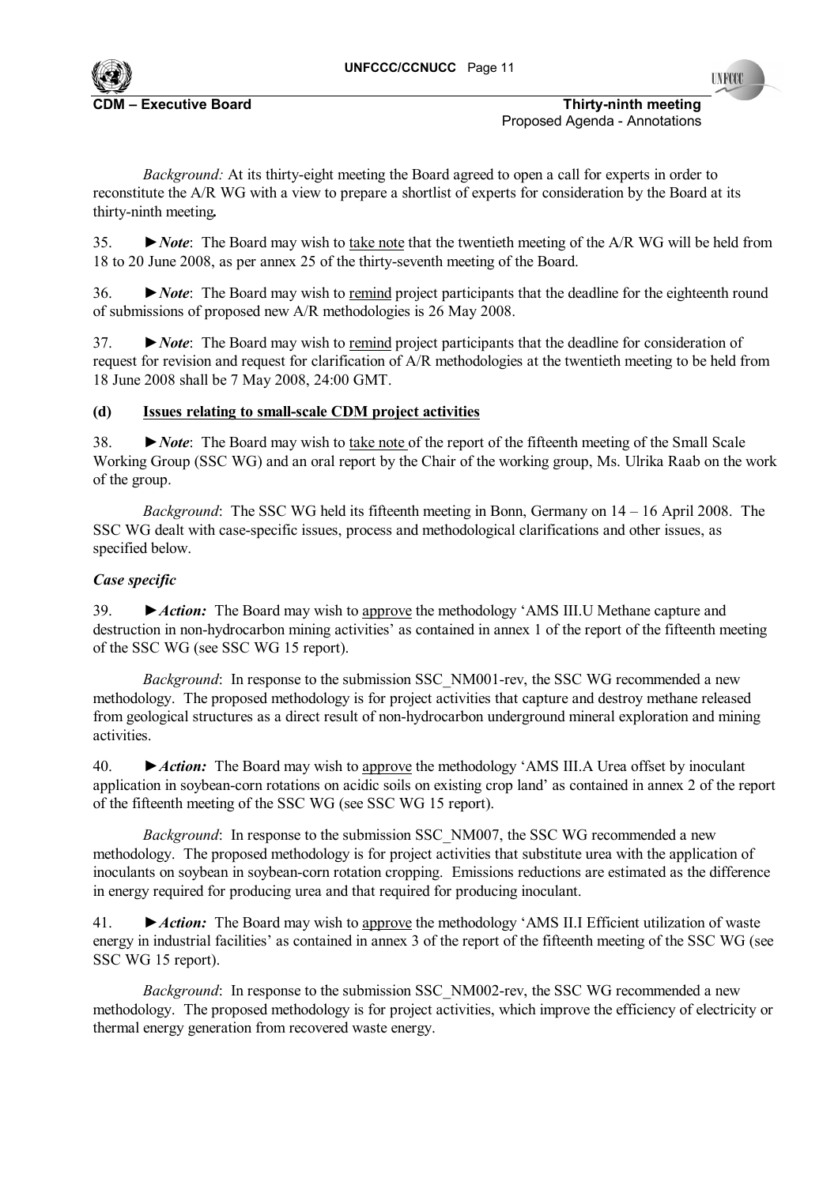

*Background:* At its thirty-eight meeting the Board agreed to open a call for experts in order to reconstitute the A/R WG with a view to prepare a shortlist of experts for consideration by the Board at its thirty-ninth meeting*.*

35. *►Note*: The Board may wish to take note that the twentieth meeting of the A/R WG will be held from 18 to 20 June 2008, as per annex 25 of the thirty-seventh meeting of the Board.

36. *►Note*: The Board may wish to remind project participants that the deadline for the eighteenth round of submissions of proposed new A/R methodologies is 26 May 2008.

37. *►Note*: The Board may wish to remind project participants that the deadline for consideration of request for revision and request for clarification of A/R methodologies at the twentieth meeting to be held from 18 June 2008 shall be 7 May 2008, 24:00 GMT.

# **(d) Issues relating to small-scale CDM project activities**

38. *►Note*: The Board may wish to take note of the report of the fifteenth meeting of the Small Scale Working Group (SSC WG) and an oral report by the Chair of the working group, Ms. Ulrika Raab on the work of the group.

*Background*: The SSC WG held its fifteenth meeting in Bonn, Germany on 14 – 16 April 2008. The SSC WG dealt with case-specific issues, process and methodological clarifications and other issues, as specified below.

# *Case specific*

39. *►Action:* The Board may wish to approve the methodology ëAMS III.U Methane capture and destruction in non-hydrocarbon mining activities' as contained in annex 1 of the report of the fifteenth meeting of the SSC WG (see SSC WG 15 report).

*Background*: In response to the submission SSC\_NM001-rev, the SSC WG recommended a new methodology. The proposed methodology is for project activities that capture and destroy methane released from geological structures as a direct result of non-hydrocarbon underground mineral exploration and mining activities.

40. *►Action:* The Board may wish to approve the methodology ëAMS III.A Urea offset by inoculant application in soybean-corn rotations on acidic soils on existing crop land' as contained in annex 2 of the report of the fifteenth meeting of the SSC WG (see SSC WG 15 report).

*Background*: In response to the submission SSC\_NM007, the SSC\_WG recommended a new methodology. The proposed methodology is for project activities that substitute urea with the application of inoculants on soybean in soybean-corn rotation cropping. Emissions reductions are estimated as the difference in energy required for producing urea and that required for producing inoculant.

41. *►Action:* The Board may wish to approve the methodology ëAMS II.I Efficient utilization of waste energy in industrial facilities' as contained in annex 3 of the report of the fifteenth meeting of the SSC WG (see SSC WG 15 report).

*Background*: In response to the submission SSC\_NM002-rev, the SSC\_WG recommended a new methodology. The proposed methodology is for project activities, which improve the efficiency of electricity or thermal energy generation from recovered waste energy.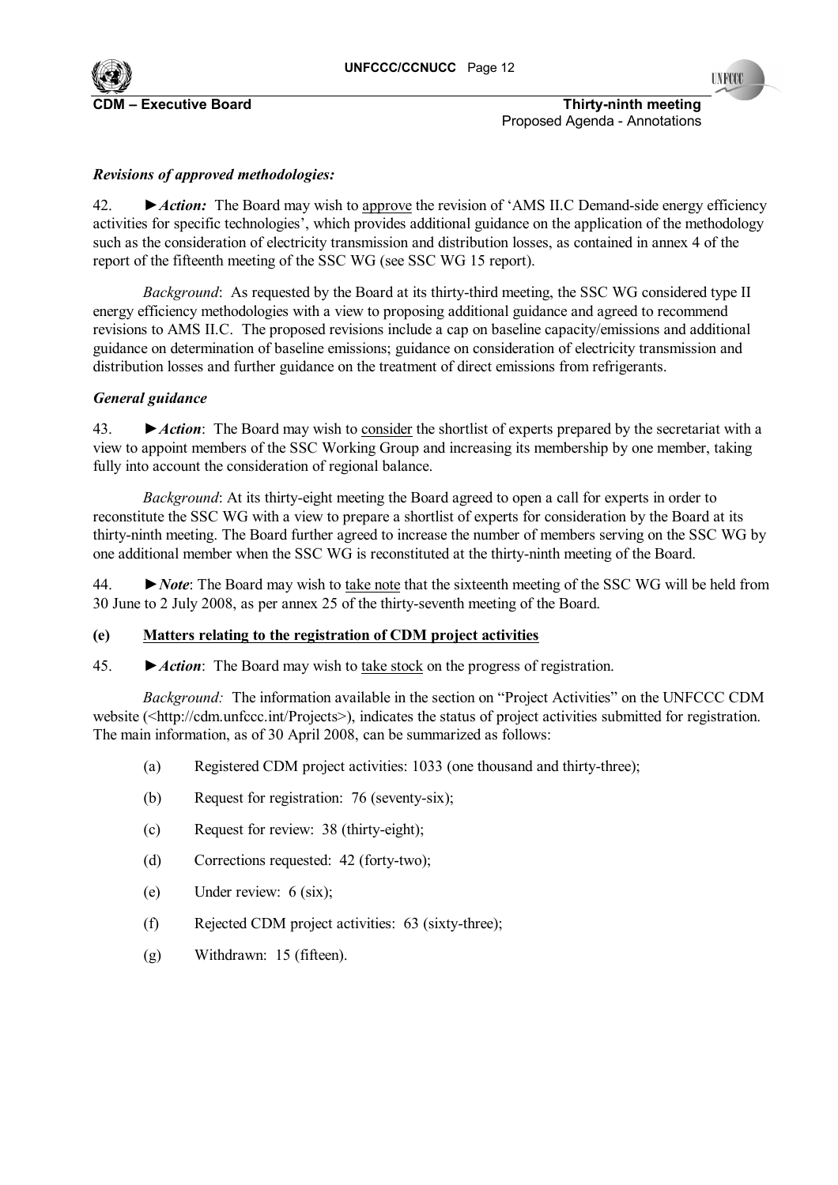

**INFOCO** 

**C** Executive Board **Executive Board Executive Board Thirty-ninth meeting Thirty-ninth meeting** Proposed Agenda - Annotations

# *Revisions of approved methodologies:*

42. *►Action:* The Board may wish to approve the revision of ëAMS II.C Demand-side energy efficiency activities for specific technologies<sup>2</sup>, which provides additional guidance on the application of the methodology such as the consideration of electricity transmission and distribution losses, as contained in annex 4 of the report of the fifteenth meeting of the SSC WG (see SSC WG 15 report).

*Background*: As requested by the Board at its thirty-third meeting, the SSC WG considered type II energy efficiency methodologies with a view to proposing additional guidance and agreed to recommend revisions to AMS II.C. The proposed revisions include a cap on baseline capacity/emissions and additional guidance on determination of baseline emissions; guidance on consideration of electricity transmission and distribution losses and further guidance on the treatment of direct emissions from refrigerants.

### *General guidance*

43. ►*Action*: The Board may wish to consider the shortlist of experts prepared by the secretariat with a view to appoint members of the SSC Working Group and increasing its membership by one member, taking fully into account the consideration of regional balance.

*Background*: At its thirty-eight meeting the Board agreed to open a call for experts in order to reconstitute the SSC WG with a view to prepare a shortlist of experts for consideration by the Board at its thirty-ninth meeting. The Board further agreed to increase the number of members serving on the SSC WG by one additional member when the SSC WG is reconstituted at the thirty-ninth meeting of the Board.

44. ►*Note*: The Board may wish to take note that the sixteenth meeting of the SSC WG will be held from 30 June to 2 July 2008, as per annex 25 of the thirty-seventh meeting of the Board.

# **(e) Matters relating to the registration of CDM project activities**

45. *►Action*: The Board may wish to take stock on the progress of registration.

*Background:* The information available in the section on "Project Activities" on the UNFCCC CDM website (<http://cdm.unfccc.int/Projects>), indicates the status of project activities submitted for registration. The main information, as of 30 April 2008, can be summarized as follows:

- (a) Registered CDM project activities: 1033 (one thousand and thirty-three);
- (b) Request for registration: 76 (seventy-six);
- (c) Request for review: 38 (thirty-eight);
- (d) Corrections requested: 42 (forty-two);
- (e) Under review: 6 (six);
- (f) Rejected CDM project activities: 63 (sixty-three);
- (g) Withdrawn: 15 (fifteen).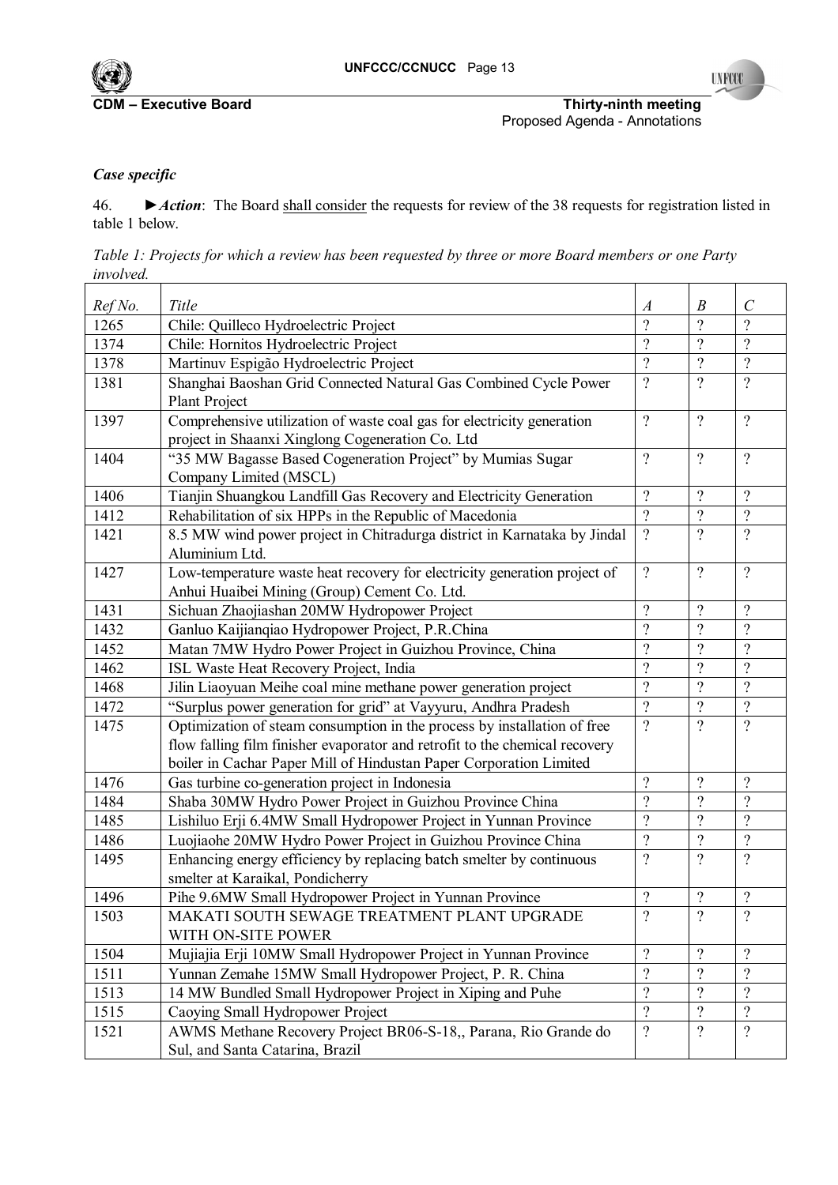

**UNFCCC** 

**CDM ñ Executive Board Thirty-ninth meeting**  Proposed Agenda - Annotations

# *Case specific*

46. *►Action*: The Board shall consider the requests for review of the 38 requests for registration listed in table 1 below.

|           |  |  | Table 1: Projects for which a review has been requested by three or more Board members or one Party |  |  |  |  |
|-----------|--|--|-----------------------------------------------------------------------------------------------------|--|--|--|--|
| involved. |  |  |                                                                                                     |  |  |  |  |

|                 | Title                                                                       |                              | $\boldsymbol{B}$ | $\mathcal{C}$            |
|-----------------|-----------------------------------------------------------------------------|------------------------------|------------------|--------------------------|
| Ref No.<br>1265 | Chile: Quilleco Hydroelectric Project                                       | $\boldsymbol{A}$<br>$\gamma$ | $\gamma$         | $\gamma$                 |
| 1374            | Chile: Hornitos Hydroelectric Project                                       | $\gamma$                     | $\gamma$         | $\gamma$                 |
| 1378            | Martinuv Espigão Hydroelectric Project                                      | $\gamma$                     | $\gamma$         | $\overline{?}$           |
| 1381            | Shanghai Baoshan Grid Connected Natural Gas Combined Cycle Power            | $\gamma$                     | $\gamma$         | $\gamma$                 |
|                 | <b>Plant Project</b>                                                        |                              |                  |                          |
| 1397            | Comprehensive utilization of waste coal gas for electricity generation      | $\gamma$                     | $\gamma$         | $\gamma$                 |
|                 | project in Shaanxi Xinglong Cogeneration Co. Ltd                            |                              |                  |                          |
| 1404            | "35 MW Bagasse Based Cogeneration Project" by Mumias Sugar                  | $\gamma$                     | $\gamma$         | $\gamma$                 |
|                 | Company Limited (MSCL)                                                      |                              |                  |                          |
| 1406            | Tianjin Shuangkou Landfill Gas Recovery and Electricity Generation          | $\gamma$                     | $\gamma$         | $\overline{?}$           |
| 1412            | Rehabilitation of six HPPs in the Republic of Macedonia                     | $\gamma$                     | $\gamma$         | $\overline{?}$           |
| 1421            | 8.5 MW wind power project in Chitradurga district in Karnataka by Jindal    | $\gamma$                     | $\gamma$         | $\gamma$                 |
|                 | Aluminium Ltd.                                                              |                              |                  |                          |
| 1427            | Low-temperature waste heat recovery for electricity generation project of   | $\gamma$                     | $\gamma$         | $\overline{?}$           |
|                 | Anhui Huaibei Mining (Group) Cement Co. Ltd.                                |                              |                  |                          |
| 1431            | Sichuan Zhaojiashan 20MW Hydropower Project                                 | $\gamma$                     | $\gamma$         | $\gamma$                 |
| 1432            | Ganluo Kaijianqiao Hydropower Project, P.R.China                            | $\gamma$                     | $\gamma$         | $\gamma$                 |
| 1452            | Matan 7MW Hydro Power Project in Guizhou Province, China                    | $\gamma$                     | $\gamma$         | $\gamma$                 |
| 1462            | ISL Waste Heat Recovery Project, India                                      | $\gamma$                     | $\gamma$         | $\gamma$                 |
| 1468            | Jilin Liaoyuan Meihe coal mine methane power generation project             | $\gamma$                     | $\gamma$         | $\gamma$                 |
| 1472            | "Surplus power generation for grid" at Vayyuru, Andhra Pradesh              | $\gamma$                     | $\overline{?}$   | $\overline{?}$           |
| 1475            | Optimization of steam consumption in the process by installation of free    | $\gamma$                     | $\gamma$         | $\overline{?}$           |
|                 | flow falling film finisher evaporator and retrofit to the chemical recovery |                              |                  |                          |
|                 | boiler in Cachar Paper Mill of Hindustan Paper Corporation Limited          |                              |                  |                          |
| 1476            | Gas turbine co-generation project in Indonesia                              | $\gamma$                     | $\gamma$         | $\gamma$                 |
| 1484            | Shaba 30MW Hydro Power Project in Guizhou Province China                    | $\gamma$                     | $\gamma$         | $\gamma$                 |
| 1485            | Lishiluo Erji 6.4MW Small Hydropower Project in Yunnan Province             | $\gamma$                     | $\gamma$         | $\gamma$                 |
| 1486            | Luojiaohe 20MW Hydro Power Project in Guizhou Province China                | $\gamma$                     | $\gamma$         | $\overline{\mathcal{C}}$ |
| 1495            | Enhancing energy efficiency by replacing batch smelter by continuous        | $\gamma$                     | $\gamma$         | $\gamma$                 |
|                 | smelter at Karaikal, Pondicherry                                            |                              |                  |                          |
| 1496            | Pihe 9.6MW Small Hydropower Project in Yunnan Province                      | $\gamma$                     | $\gamma$         | $\overline{?}$           |
| 1503            | MAKATI SOUTH SEWAGE TREATMENT PLANT UPGRADE                                 | $\overline{?}$               | $\overline{?}$   | $\overline{\mathcal{L}}$ |
|                 | WITH ON-SITE POWER                                                          |                              |                  |                          |
| 1504            | Mujiajia Erji 10MW Small Hydropower Project in Yunnan Province              | $\gamma$                     | $\gamma$         | $\gamma$                 |
| 1511            | Yunnan Zemahe 15MW Small Hydropower Project, P. R. China                    | $\gamma$                     | $\gamma$         | $\gamma$                 |
| 1513            | 14 MW Bundled Small Hydropower Project in Xiping and Puhe                   | $\gamma$                     | $\gamma$         | $\gamma$                 |
| 1515            | Caoying Small Hydropower Project                                            | $\gamma$                     | $\gamma$         | $\overline{\mathcal{L}}$ |
| 1521            | AWMS Methane Recovery Project BR06-S-18,, Parana, Rio Grande do             | $\gamma$                     | $\gamma$         | $\gamma$                 |
|                 | Sul, and Santa Catarina, Brazil                                             |                              |                  |                          |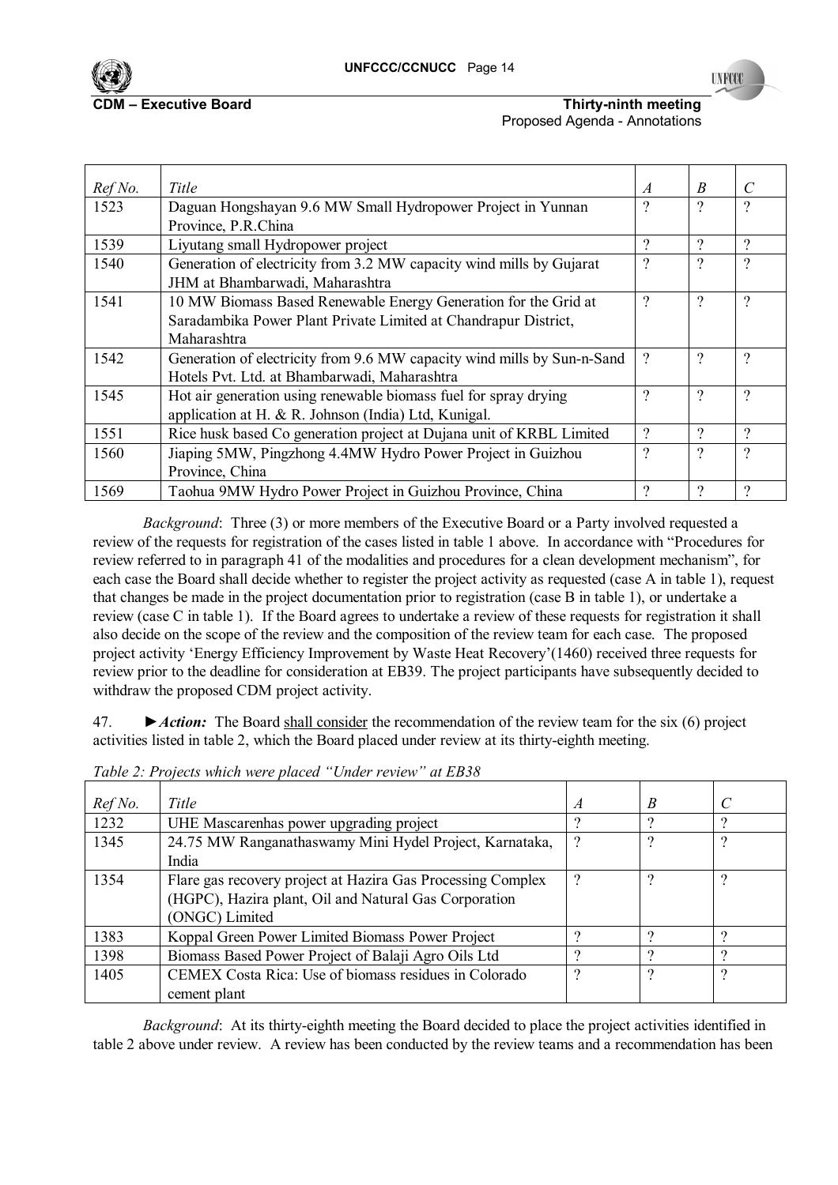

**INFOC** 

#### **CDM Executive Board COM NUMER IN THIRTY-NINTY-ninth meeting** Proposed Agenda - Annotations

| Ref No. | Title                                                                   | $\overline{A}$ | B                        | $\mathcal{C}$ |
|---------|-------------------------------------------------------------------------|----------------|--------------------------|---------------|
| 1523    | Daguan Hongshayan 9.6 MW Small Hydropower Project in Yunnan             | ?              | $\gamma$                 | $\gamma$      |
|         | Province, P.R.China                                                     |                |                          |               |
| 1539    | Liyutang small Hydropower project                                       | ?              | $\Omega$                 | $\mathcal{D}$ |
| 1540    | Generation of electricity from 3.2 MW capacity wind mills by Gujarat    | ?              | ?                        | $\gamma$      |
|         | JHM at Bhambarwadi, Maharashtra                                         |                |                          |               |
| 1541    | 10 MW Biomass Based Renewable Energy Generation for the Grid at         | ?              | ?                        | $\gamma$      |
|         | Saradambika Power Plant Private Limited at Chandrapur District,         |                |                          |               |
|         | Maharashtra                                                             |                |                          |               |
| 1542    | Generation of electricity from 9.6 MW capacity wind mills by Sun-n-Sand | ?              | $\gamma$                 | $\gamma$      |
|         | Hotels Pvt. Ltd. at Bhambarwadi, Maharashtra                            |                |                          |               |
| 1545    | Hot air generation using renewable biomass fuel for spray drying        | ?              | $\overline{\mathcal{C}}$ | $\gamma$      |
|         | application at H. & R. Johnson (India) Ltd, Kunigal.                    |                |                          |               |
| 1551    | Rice husk based Co generation project at Dujana unit of KRBL Limited    | ?              | $\Omega$                 | ?             |
| 1560    | Jiaping 5MW, Pingzhong 4.4MW Hydro Power Project in Guizhou             | ?              | ?                        | $\gamma$      |
|         | Province, China                                                         |                |                          |               |
| 1569    | Taohua 9MW Hydro Power Project in Guizhou Province, China               | 9              | ႒                        | ?             |

*Background*: Three (3) or more members of the Executive Board or a Party involved requested a review of the requests for registration of the cases listed in table 1 above. In accordance with "Procedures for review referred to in paragraph 41 of the modalities and procedures for a clean development mechanism", for each case the Board shall decide whether to register the project activity as requested (case A in table 1), request that changes be made in the project documentation prior to registration (case B in table 1), or undertake a review (case C in table 1). If the Board agrees to undertake a review of these requests for registration it shall also decide on the scope of the review and the composition of the review team for each case. The proposed project activity 'Energy Efficiency Improvement by Waste Heat Recovery'(1460) received three requests for review prior to the deadline for consideration at EB39. The project participants have subsequently decided to withdraw the proposed CDM project activity.

47. *►Action:* The Board shall consider the recommendation of the review team for the six (6) project activities listed in table 2, which the Board placed under review at its thirty-eighth meeting.

| Ref No. | Title                                                       | A | B   | $\mathcal{C}$ |
|---------|-------------------------------------------------------------|---|-----|---------------|
| 1232    | UHE Mascarenhas power upgrading project                     |   | 9   | റ             |
| 1345    | 24.75 MW Ranganathaswamy Mini Hydel Project, Karnataka,     | ? | ?   | 9             |
|         | India                                                       |   |     |               |
| 1354    | Flare gas recovery project at Hazira Gas Processing Complex | ? | ?   | 9             |
|         | (HGPC), Hazira plant, Oil and Natural Gas Corporation       |   |     |               |
|         | (ONGC) Limited                                              |   |     |               |
| 1383    | Koppal Green Power Limited Biomass Power Project            |   | റ   | റ             |
| 1398    | Biomass Based Power Project of Balaji Agro Oils Ltd         | റ | - 2 | റ             |
| 1405    | CEMEX Costa Rica: Use of biomass residues in Colorado       | າ | 9   | 9             |
|         | cement plant                                                |   |     |               |

*Table 2: Projects which were placed "Under review" at EB38* 

*Background*: At its thirty-eighth meeting the Board decided to place the project activities identified in table 2 above under review. A review has been conducted by the review teams and a recommendation has been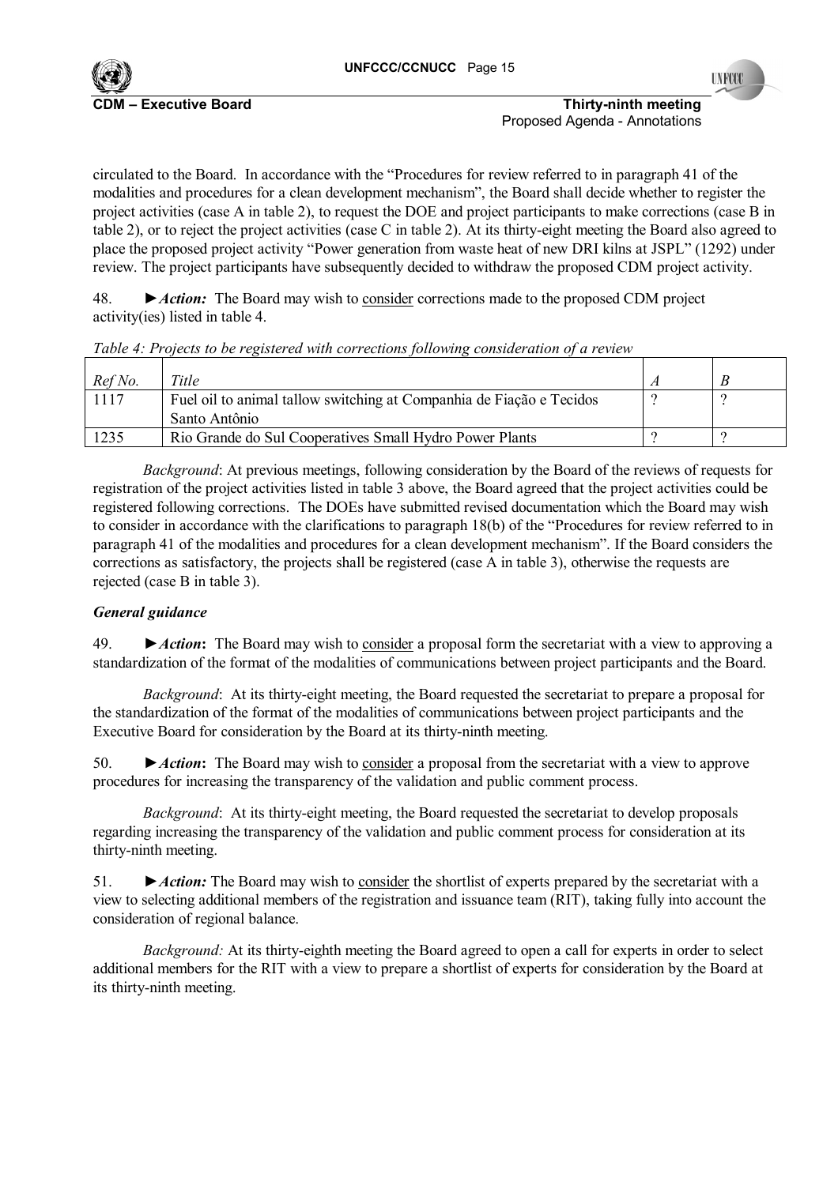

**INFOC** 

**C**DM **Executive Board CDM is a constructed by CDM is a constructed by Thirty-ninth meeting <b>Thirty-ninth meeting** Proposed Agenda - Annotations

circulated to the Board. In accordance with the "Procedures for review referred to in paragraph 41 of the modalities and procedures for a clean development mechanism<sup>3</sup>, the Board shall decide whether to register the project activities (case A in table 2), to request the DOE and project participants to make corrections (case B in table 2), or to reject the project activities (case C in table 2). At its thirty-eight meeting the Board also agreed to place the proposed project activity "Power generation from waste heat of new DRI kilns at JSPL" (1292) under review. The project participants have subsequently decided to withdraw the proposed CDM project activity.

48. *►Action:* The Board may wish to consider corrections made to the proposed CDM project activity(ies) listed in table 4.

|  | Table 4: Projects to be registered with corrections following consideration of a review |  |  |
|--|-----------------------------------------------------------------------------------------|--|--|
|  |                                                                                         |  |  |

| Ref No. | Title                                                                |  |
|---------|----------------------------------------------------------------------|--|
| 1117    | Fuel oil to animal tallow switching at Companhia de Fiação e Tecidos |  |
|         | Santo Antônio                                                        |  |
| 1235    | Rio Grande do Sul Cooperatives Small Hydro Power Plants              |  |

*Background*: At previous meetings, following consideration by the Board of the reviews of requests for registration of the project activities listed in table 3 above, the Board agreed that the project activities could be registered following corrections. The DOEs have submitted revised documentation which the Board may wish to consider in accordance with the clarifications to paragraph  $18(b)$  of the "Procedures for review referred to in paragraph 41 of the modalities and procedures for a clean development mechanismî. If the Board considers the corrections as satisfactory, the projects shall be registered (case A in table 3), otherwise the requests are rejected (case B in table 3).

# *General guidance*

49. *►Action***:** The Board may wish to consider a proposal form the secretariat with a view to approving a standardization of the format of the modalities of communications between project participants and the Board.

*Background*: At its thirty-eight meeting, the Board requested the secretariat to prepare a proposal for the standardization of the format of the modalities of communications between project participants and the Executive Board for consideration by the Board at its thirty-ninth meeting.

50. *►Action***:** The Board may wish to consider a proposal from the secretariat with a view to approve procedures for increasing the transparency of the validation and public comment process.

*Background*: At its thirty-eight meeting, the Board requested the secretariat to develop proposals regarding increasing the transparency of the validation and public comment process for consideration at its thirty-ninth meeting.

51. *►Action:* The Board may wish to consider the shortlist of experts prepared by the secretariat with a view to selecting additional members of the registration and issuance team (RIT), taking fully into account the consideration of regional balance.

*Background:* At its thirty-eighth meeting the Board agreed to open a call for experts in order to select additional members for the RIT with a view to prepare a shortlist of experts for consideration by the Board at its thirty-ninth meeting.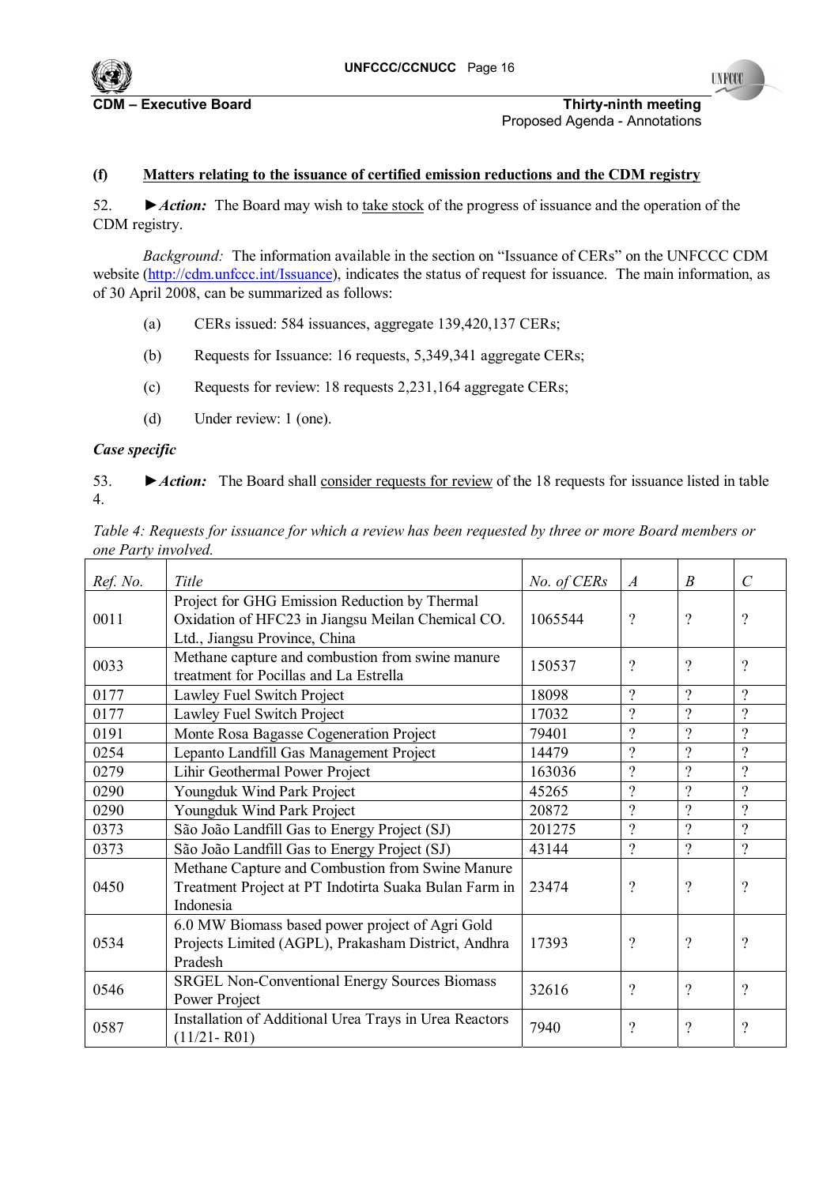

**CDM** FXECUTIVE Board **COM SOLUTE:** Thirty-ninth meeting Proposed Agenda - Annotations

#### **(f) Matters relating to the issuance of certified emission reductions and the CDM registry**

52. *►Action:* The Board may wish to take stock of the progress of issuance and the operation of the CDM registry.

*Background:* The information available in the section on "Issuance of CERs" on the UNFCCC CDM website (http://cdm.unfccc.int/Issuance), indicates the status of request for issuance. The main information, as of 30 April 2008, can be summarized as follows:

- (a) CERs issued: 584 issuances, aggregate 139,420,137 CERs;
- (b) Requests for Issuance: 16 requests, 5,349,341 aggregate CERs;
- (c) Requests for review: 18 requests 2,231,164 aggregate CERs;
- (d) Under review: 1 (one).

### *Case specific*

53. *►Action:* The Board shall consider requests for review of the 18 requests for issuance listed in table 4.

*Table 4: Requests for issuance for which a review has been requested by three or more Board members or one Party involved.*

| Ref. No. | Title                                                                                                                               | No. of CERs | $\overline{A}$           | $\boldsymbol{B}$         | $\mathcal{C}$            |
|----------|-------------------------------------------------------------------------------------------------------------------------------------|-------------|--------------------------|--------------------------|--------------------------|
| 0011     | Project for GHG Emission Reduction by Thermal<br>Oxidation of HFC23 in Jiangsu Meilan Chemical CO.<br>Ltd., Jiangsu Province, China | 1065544     | $\overline{\mathcal{L}}$ | $\overline{\mathcal{L}}$ | $\gamma$                 |
| 0033     | Methane capture and combustion from swine manure<br>treatment for Pocillas and La Estrella                                          | 150537      | $\gamma$                 | $\gamma$                 | $\gamma$                 |
| 0177     | Lawley Fuel Switch Project                                                                                                          | 18098       | $\overline{\mathcal{C}}$ | $\gamma$                 | $\gamma$                 |
| 0177     | Lawley Fuel Switch Project                                                                                                          | 17032       | $\overline{\mathcal{L}}$ | $\gamma$                 | $\gamma$                 |
| 0191     | Monte Rosa Bagasse Cogeneration Project                                                                                             | 79401       | $\overline{\mathcal{L}}$ | $\overline{?}$           | $\gamma$                 |
| 0254     | Lepanto Landfill Gas Management Project                                                                                             | 14479       | $\overline{\mathcal{L}}$ | $\overline{\mathcal{L}}$ | $\gamma$                 |
| 0279     | Lihir Geothermal Power Project                                                                                                      | 163036      | $\gamma$                 | $\gamma$                 | $\gamma$                 |
| 0290     | Youngduk Wind Park Project                                                                                                          | 45265       | $\gamma$                 | $\gamma$                 | $\gamma$                 |
| 0290     | Youngduk Wind Park Project                                                                                                          | 20872       | $\gamma$                 | $\gamma$                 | $\gamma$                 |
| 0373     | São João Landfill Gas to Energy Project (SJ)                                                                                        | 201275      | $\gamma$                 | $\gamma$                 | $\gamma$                 |
| 0373     | São João Landfill Gas to Energy Project (SJ)                                                                                        | 43144       | $\gamma$                 | $\gamma$                 | $\gamma$                 |
| 0450     | Methane Capture and Combustion from Swine Manure<br>Treatment Project at PT Indotirta Suaka Bulan Farm in<br>Indonesia              | 23474       | $\overline{\mathcal{C}}$ | $\overline{\mathcal{C}}$ | $\overline{\mathcal{C}}$ |
| 0534     | 6.0 MW Biomass based power project of Agri Gold<br>Projects Limited (AGPL), Prakasham District, Andhra<br>Pradesh                   | 17393       | $\overline{\mathcal{C}}$ | $\overline{\mathcal{L}}$ | $\overline{\mathcal{C}}$ |
| 0546     | <b>SRGEL Non-Conventional Energy Sources Biomass</b><br>Power Project                                                               | 32616       | $\overline{\mathcal{L}}$ | $\overline{\mathcal{L}}$ | $\gamma$                 |
| 0587     | Installation of Additional Urea Trays in Urea Reactors<br>$(11/21 - R01)$                                                           | 7940        | $\overline{\mathcal{L}}$ | $\overline{\mathcal{L}}$ | $\overline{\mathcal{C}}$ |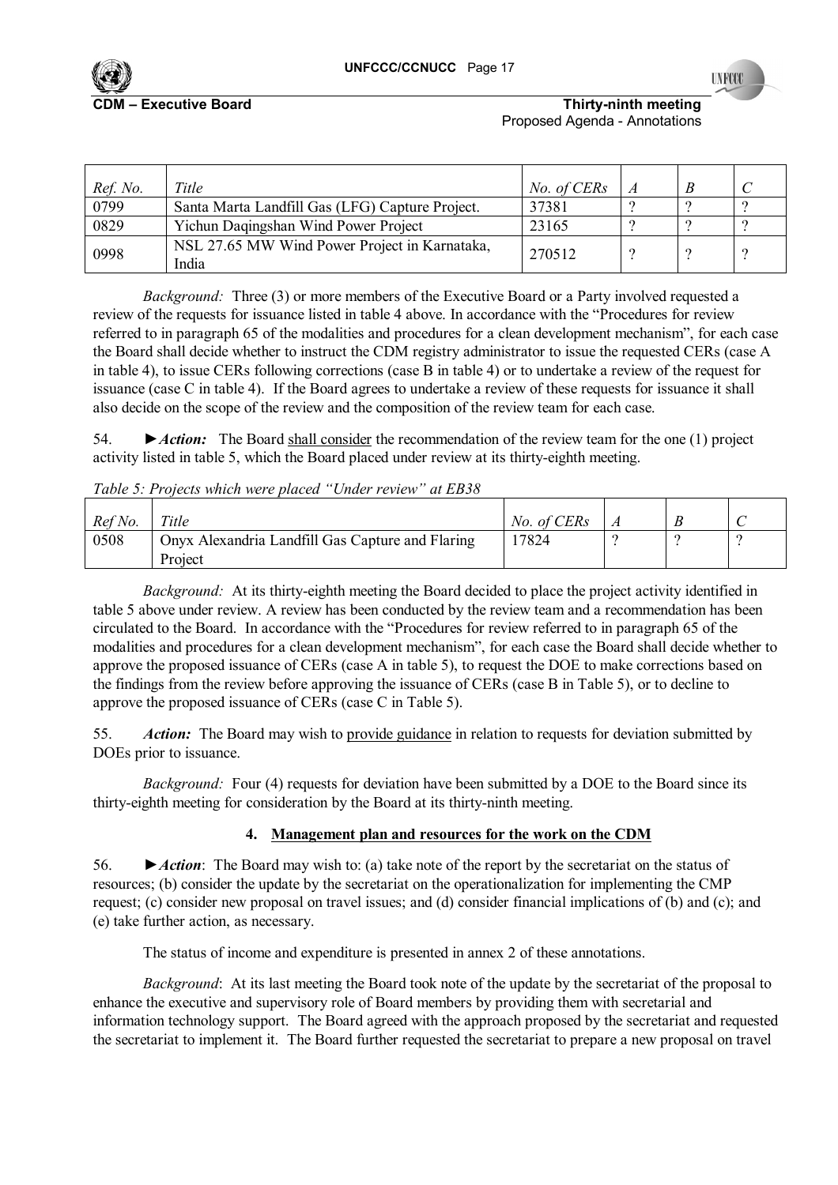

**TNECO** 

**CDM Executive Board COM NUMER IN THIRTY-NINTY-ninth meeting** Proposed Agenda - Annotations

| Ref. No. | Title                                                  | No. of CERs |  |  |
|----------|--------------------------------------------------------|-------------|--|--|
| 0799     | Santa Marta Landfill Gas (LFG) Capture Project.        | 37381       |  |  |
| 0829     | Yichun Daqingshan Wind Power Project                   | 23165       |  |  |
| 0998     | NSL 27.65 MW Wind Power Project in Karnataka,<br>India | 270512      |  |  |

*Background:* Three (3) or more members of the Executive Board or a Party involved requested a review of the requests for issuance listed in table 4 above. In accordance with the "Procedures for review referred to in paragraph 65 of the modalities and procedures for a clean development mechanismî, for each case the Board shall decide whether to instruct the CDM registry administrator to issue the requested CERs (case A in table 4), to issue CERs following corrections (case B in table 4) or to undertake a review of the request for issuance (case C in table 4). If the Board agrees to undertake a review of these requests for issuance it shall also decide on the scope of the review and the composition of the review team for each case.

54. *►Action:* The Board shall consider the recommendation of the review team for the one (1) project activity listed in table 5, which the Board placed under review at its thirty-eighth meeting.

*Table 5: Projects which were placed "Under review" at EB38* 

| Ref No. | Title                                                       | No. of CERs |  |  |
|---------|-------------------------------------------------------------|-------------|--|--|
| 0508    | Onyx Alexandria Landfill Gas Capture and Flaring<br>Project | 17824       |  |  |

*Background:* At its thirty-eighth meeting the Board decided to place the project activity identified in table 5 above under review. A review has been conducted by the review team and a recommendation has been circulated to the Board. In accordance with the "Procedures for review referred to in paragraph 65 of the modalities and procedures for a clean development mechanism", for each case the Board shall decide whether to approve the proposed issuance of CERs (case A in table 5), to request the DOE to make corrections based on the findings from the review before approving the issuance of CERs (case B in Table 5), or to decline to approve the proposed issuance of CERs (case C in Table 5).

55. *Action:* The Board may wish to provide guidance in relation to requests for deviation submitted by DOEs prior to issuance.

*Background:* Four (4) requests for deviation have been submitted by a DOE to the Board since its thirty-eighth meeting for consideration by the Board at its thirty-ninth meeting.

# **4. Management plan and resources for the work on the CDM**

56. *►Action*: The Board may wish to: (a) take note of the report by the secretariat on the status of resources; (b) consider the update by the secretariat on the operationalization for implementing the CMP request; (c) consider new proposal on travel issues; and (d) consider financial implications of (b) and (c); and (e) take further action, as necessary.

The status of income and expenditure is presented in annex 2 of these annotations.

*Background*: At its last meeting the Board took note of the update by the secretariat of the proposal to enhance the executive and supervisory role of Board members by providing them with secretarial and information technology support. The Board agreed with the approach proposed by the secretariat and requested the secretariat to implement it. The Board further requested the secretariat to prepare a new proposal on travel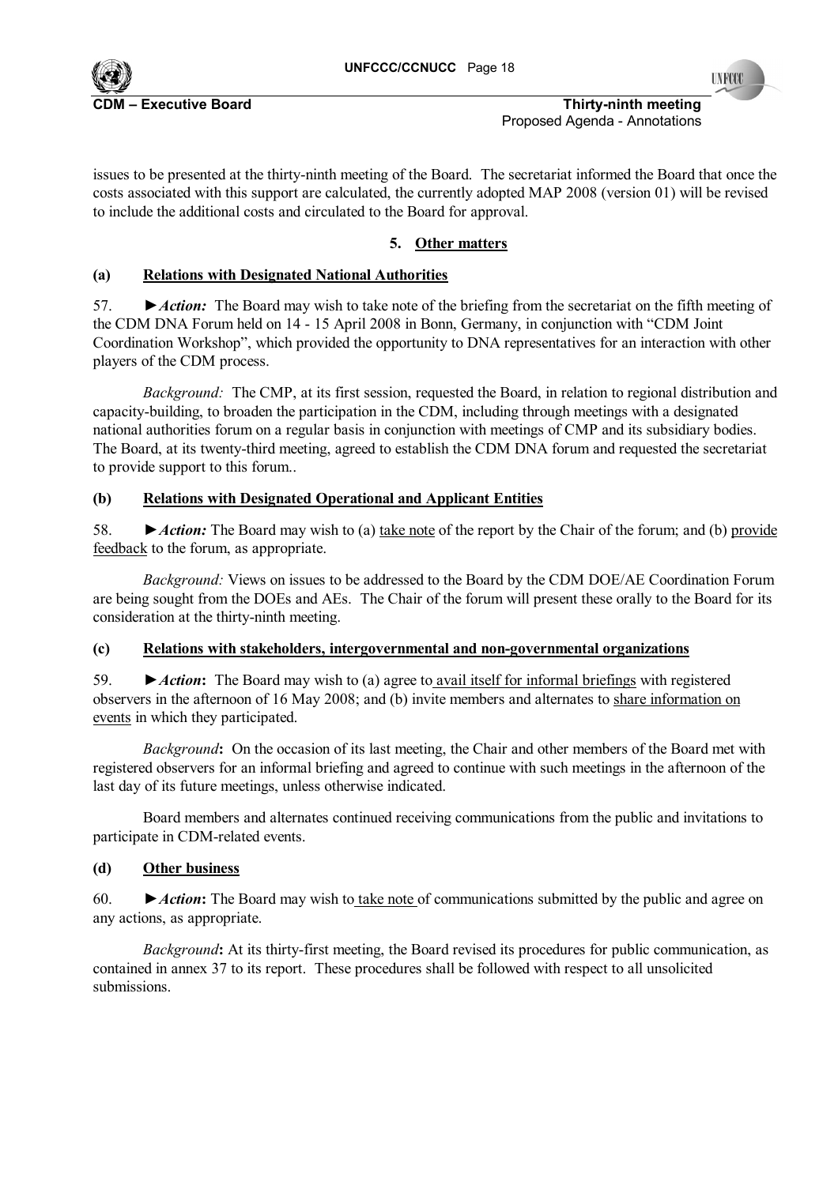

**INFOC** 

#### **C**DM **Executive Board CDM is a constructed by CDM is a constructed by Thirty-ninth meeting <b>Thirty-ninth meeting** Proposed Agenda - Annotations

issues to be presented at the thirty-ninth meeting of the Board. The secretariat informed the Board that once the costs associated with this support are calculated, the currently adopted MAP 2008 (version 01) will be revised to include the additional costs and circulated to the Board for approval.

# **5. Other matters**

# **(a) Relations with Designated National Authorities**

57. *►Action:* The Board may wish to take note of the briefing from the secretariat on the fifth meeting of the CDM DNA Forum held on 14 - 15 April 2008 in Bonn, Germany, in conjunction with "CDM Joint Coordination Workshopî, which provided the opportunity to DNA representatives for an interaction with other players of the CDM process.

*Background:* The CMP, at its first session, requested the Board, in relation to regional distribution and capacity-building, to broaden the participation in the CDM, including through meetings with a designated national authorities forum on a regular basis in conjunction with meetings of CMP and its subsidiary bodies. The Board, at its twenty-third meeting, agreed to establish the CDM DNA forum and requested the secretariat to provide support to this forum..

# **(b) Relations with Designated Operational and Applicant Entities**

58. *►Action:* The Board may wish to (a) take note of the report by the Chair of the forum; and (b) provide feedback to the forum, as appropriate.

*Background:* Views on issues to be addressed to the Board by the CDM DOE/AE Coordination Forum are being sought from the DOEs and AEs. The Chair of the forum will present these orally to the Board for its consideration at the thirty-ninth meeting.

# **(c) Relations with stakeholders, intergovernmental and non-governmental organizations**

59. *►Action***:** The Board may wish to (a) agree to avail itself for informal briefings with registered observers in the afternoon of 16 May 2008; and (b) invite members and alternates to share information on events in which they participated.

*Background*: On the occasion of its last meeting, the Chair and other members of the Board met with registered observers for an informal briefing and agreed to continue with such meetings in the afternoon of the last day of its future meetings, unless otherwise indicated.

Board members and alternates continued receiving communications from the public and invitations to participate in CDM-related events.

# **(d) Other business**

60. *►Action***:** The Board may wish to take note of communications submitted by the public and agree on any actions, as appropriate.

*Background***:** At its thirty-first meeting, the Board revised its procedures for public communication, as contained in annex 37 to its report. These procedures shall be followed with respect to all unsolicited submissions.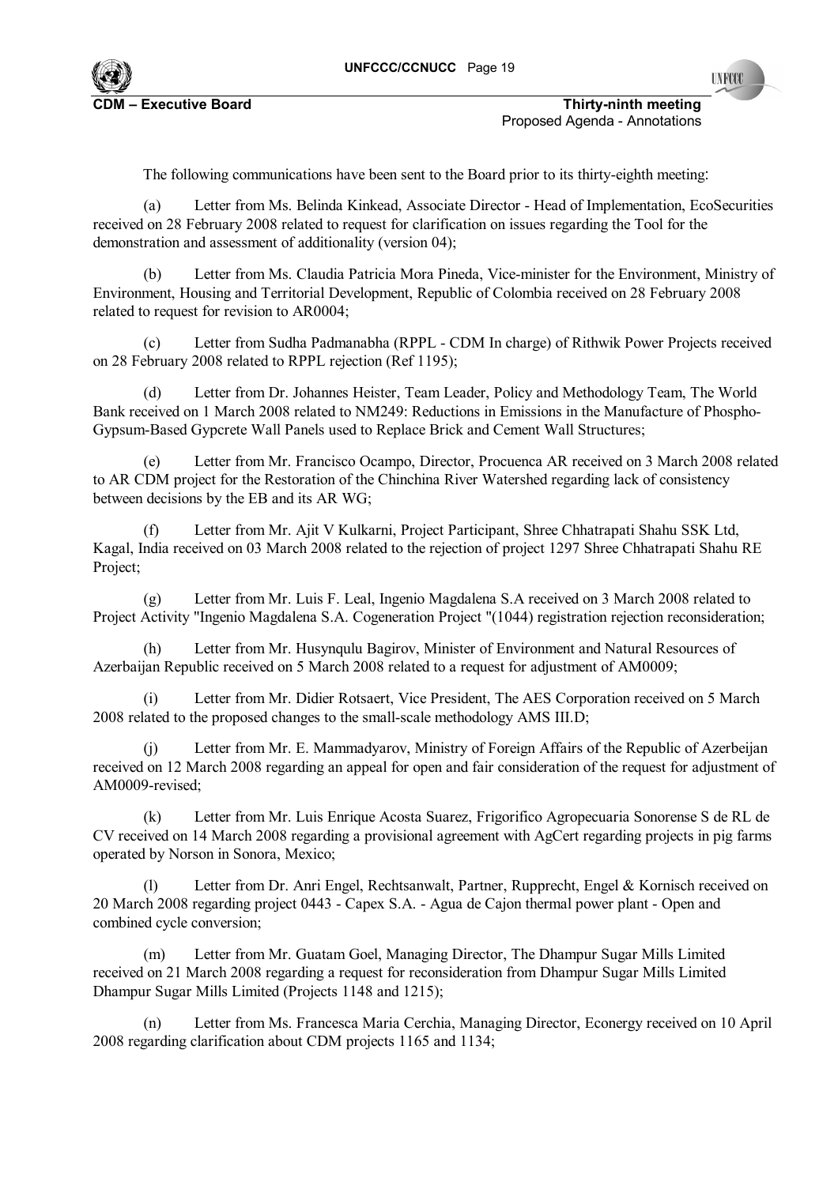

**C**DM **Executive Board CDM is a contract of the contract of the CDM is a contract of the CDM is a contract of the CDM is a contract of the CDM is a contract of the CDM is a contract of the CDM is a contract of the CDM is** Proposed Agenda - Annotations

The following communications have been sent to the Board prior to its thirty-eighth meeting:

(a) Letter from Ms. Belinda Kinkead, Associate Director - Head of Implementation, EcoSecurities received on 28 February 2008 related to request for clarification on issues regarding the Tool for the demonstration and assessment of additionality (version 04);

(b) Letter from Ms. Claudia Patricia Mora Pineda, Vice-minister for the Environment, Ministry of Environment, Housing and Territorial Development, Republic of Colombia received on 28 February 2008 related to request for revision to AR0004;

Letter from Sudha Padmanabha (RPPL - CDM In charge) of Rithwik Power Projects received on 28 February 2008 related to RPPL rejection (Ref 1195);

(d) Letter from Dr. Johannes Heister, Team Leader, Policy and Methodology Team, The World Bank received on 1 March 2008 related to NM249: Reductions in Emissions in the Manufacture of Phospho-Gypsum-Based Gypcrete Wall Panels used to Replace Brick and Cement Wall Structures;

(e) Letter from Mr. Francisco Ocampo, Director, Procuenca AR received on 3 March 2008 related to AR CDM project for the Restoration of the Chinchina River Watershed regarding lack of consistency between decisions by the EB and its AR WG;

(f) Letter from Mr. Ajit V Kulkarni, Project Participant, Shree Chhatrapati Shahu SSK Ltd, Kagal, India received on 03 March 2008 related to the rejection of project 1297 Shree Chhatrapati Shahu RE Project;

(g) Letter from Mr. Luis F. Leal, Ingenio Magdalena S.A received on 3 March 2008 related to Project Activity "Ingenio Magdalena S.A. Cogeneration Project "(1044) registration rejection reconsideration;

(h) Letter from Mr. Husynqulu Bagirov, Minister of Environment and Natural Resources of Azerbaijan Republic received on 5 March 2008 related to a request for adjustment of AM0009;

(i) Letter from Mr. Didier Rotsaert, Vice President, The AES Corporation received on 5 March 2008 related to the proposed changes to the small-scale methodology AMS III.D;

(j) Letter from Mr. E. Mammadyarov, Ministry of Foreign Affairs of the Republic of Azerbeijan received on 12 March 2008 regarding an appeal for open and fair consideration of the request for adjustment of AM0009-revised;

(k) Letter from Mr. Luis Enrique Acosta Suarez, Frigorifico Agropecuaria Sonorense S de RL de CV received on 14 March 2008 regarding a provisional agreement with AgCert regarding projects in pig farms operated by Norson in Sonora, Mexico;

(l) Letter from Dr. Anri Engel, Rechtsanwalt, Partner, Rupprecht, Engel & Kornisch received on 20 March 2008 regarding project 0443 - Capex S.A. - Agua de Cajon thermal power plant - Open and combined cycle conversion;

(m) Letter from Mr. Guatam Goel, Managing Director, The Dhampur Sugar Mills Limited received on 21 March 2008 regarding a request for reconsideration from Dhampur Sugar Mills Limited Dhampur Sugar Mills Limited (Projects 1148 and 1215);

(n) Letter from Ms. Francesca Maria Cerchia, Managing Director, Econergy received on 10 April 2008 regarding clarification about CDM projects 1165 and 1134;